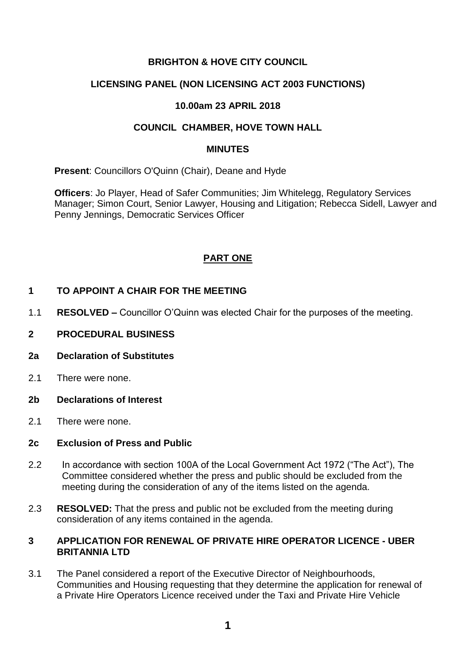# **BRIGHTON & HOVE CITY COUNCIL**

# **LICENSING PANEL (NON LICENSING ACT 2003 FUNCTIONS)**

## **10.00am 23 APRIL 2018**

## **COUNCIL CHAMBER, HOVE TOWN HALL**

#### **MINUTES**

**Present**: Councillors O'Quinn (Chair), Deane and Hyde

**Officers**: Jo Player, Head of Safer Communities; Jim Whitelegg, Regulatory Services Manager; Simon Court, Senior Lawyer, Housing and Litigation; Rebecca Sidell, Lawyer and Penny Jennings, Democratic Services Officer

# **PART ONE**

# **1 TO APPOINT A CHAIR FOR THE MEETING**

- 1.1 **RESOLVED –** Councillor O'Quinn was elected Chair for the purposes of the meeting.
- **2 PROCEDURAL BUSINESS**

#### **2a Declaration of Substitutes**

- 2.1 There were none.
- **2b Declarations of Interest**
- 2.1 There were none.

#### **2c Exclusion of Press and Public**

- 2.2 In accordance with section 100A of the Local Government Act 1972 ("The Act"), The Committee considered whether the press and public should be excluded from the meeting during the consideration of any of the items listed on the agenda.
- 2.3 **RESOLVED:** That the press and public not be excluded from the meeting during consideration of any items contained in the agenda.

## **3 APPLICATION FOR RENEWAL OF PRIVATE HIRE OPERATOR LICENCE - UBER BRITANNIA LTD**

3.1 The Panel considered a report of the Executive Director of Neighbourhoods, Communities and Housing requesting that they determine the application for renewal of a Private Hire Operators Licence received under the Taxi and Private Hire Vehicle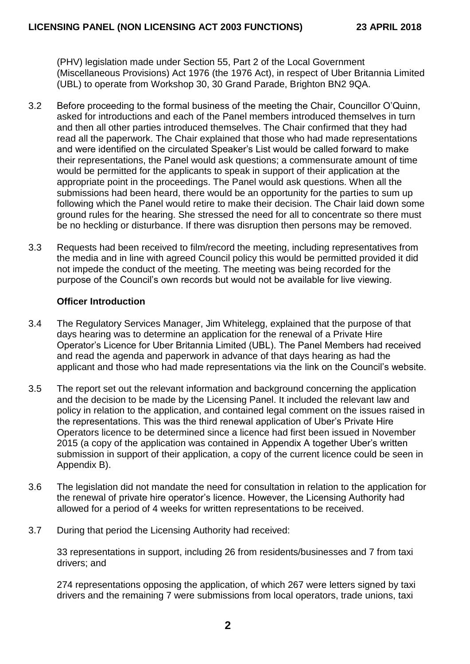(PHV) legislation made under Section 55, Part 2 of the Local Government (Miscellaneous Provisions) Act 1976 (the 1976 Act), in respect of Uber Britannia Limited (UBL) to operate from Workshop 30, 30 Grand Parade, Brighton BN2 9QA.

- 3.2 Before proceeding to the formal business of the meeting the Chair, Councillor O'Quinn, asked for introductions and each of the Panel members introduced themselves in turn and then all other parties introduced themselves. The Chair confirmed that they had read all the paperwork. The Chair explained that those who had made representations and were identified on the circulated Speaker's List would be called forward to make their representations, the Panel would ask questions; a commensurate amount of time would be permitted for the applicants to speak in support of their application at the appropriate point in the proceedings. The Panel would ask questions. When all the submissions had been heard, there would be an opportunity for the parties to sum up following which the Panel would retire to make their decision. The Chair laid down some ground rules for the hearing. She stressed the need for all to concentrate so there must be no heckling or disturbance. If there was disruption then persons may be removed.
- 3.3 Requests had been received to film/record the meeting, including representatives from the media and in line with agreed Council policy this would be permitted provided it did not impede the conduct of the meeting. The meeting was being recorded for the purpose of the Council's own records but would not be available for live viewing.

## **Officer Introduction**

- 3.4 The Regulatory Services Manager, Jim Whitelegg, explained that the purpose of that days hearing was to determine an application for the renewal of a Private Hire Operator's Licence for Uber Britannia Limited (UBL). The Panel Members had received and read the agenda and paperwork in advance of that days hearing as had the applicant and those who had made representations via the link on the Council's website.
- 3.5 The report set out the relevant information and background concerning the application and the decision to be made by the Licensing Panel. It included the relevant law and policy in relation to the application, and contained legal comment on the issues raised in the representations. This was the third renewal application of Uber's Private Hire Operators licence to be determined since a licence had first been issued in November 2015 (a copy of the application was contained in Appendix A together Uber's written submission in support of their application, a copy of the current licence could be seen in Appendix B).
- 3.6 The legislation did not mandate the need for consultation in relation to the application for the renewal of private hire operator's licence. However, the Licensing Authority had allowed for a period of 4 weeks for written representations to be received.
- 3.7 During that period the Licensing Authority had received:

33 representations in support, including 26 from residents/businesses and 7 from taxi drivers; and

274 representations opposing the application, of which 267 were letters signed by taxi drivers and the remaining 7 were submissions from local operators, trade unions, taxi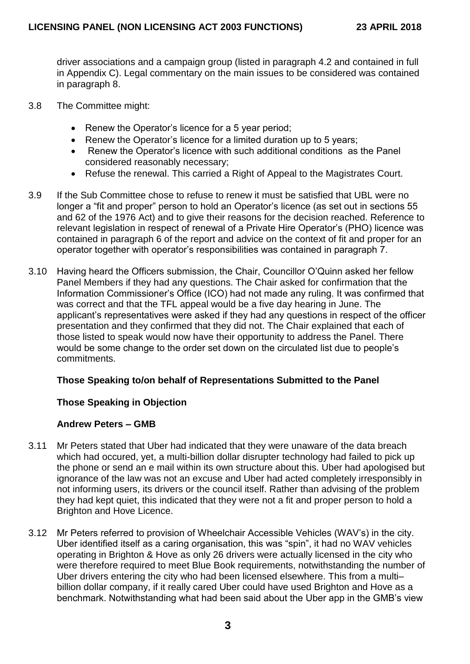driver associations and a campaign group (listed in paragraph 4.2 and contained in full in Appendix C). Legal commentary on the main issues to be considered was contained in paragraph 8.

- 3.8 The Committee might:
	- Renew the Operator's licence for a 5 year period;
	- Renew the Operator's licence for a limited duration up to 5 years;
	- Renew the Operator's licence with such additional conditions as the Panel considered reasonably necessary;
	- Refuse the renewal. This carried a Right of Appeal to the Magistrates Court.
- 3.9 If the Sub Committee chose to refuse to renew it must be satisfied that UBL were no longer a "fit and proper" person to hold an Operator's licence (as set out in sections 55 and 62 of the 1976 Act) and to give their reasons for the decision reached. Reference to relevant legislation in respect of renewal of a Private Hire Operator's (PHO) licence was contained in paragraph 6 of the report and advice on the context of fit and proper for an operator together with operator's responsibilities was contained in paragraph 7.
- 3.10 Having heard the Officers submission, the Chair, Councillor O'Quinn asked her fellow Panel Members if they had any questions. The Chair asked for confirmation that the Information Commissioner's Office (ICO) had not made any ruling. It was confirmed that was correct and that the TFL appeal would be a five day hearing in June. The applicant's representatives were asked if they had any questions in respect of the officer presentation and they confirmed that they did not. The Chair explained that each of those listed to speak would now have their opportunity to address the Panel. There would be some change to the order set down on the circulated list due to people's commitments.

# **Those Speaking to/on behalf of Representations Submitted to the Panel**

## **Those Speaking in Objection**

## **Andrew Peters – GMB**

- 3.11 Mr Peters stated that Uber had indicated that they were unaware of the data breach which had occured, yet, a multi-billion dollar disrupter technology had failed to pick up the phone or send an e mail within its own structure about this. Uber had apologised but ignorance of the law was not an excuse and Uber had acted completely irresponsibly in not informing users, its drivers or the council itself. Rather than advising of the problem they had kept quiet, this indicated that they were not a fit and proper person to hold a Brighton and Hove Licence.
- 3.12 Mr Peters referred to provision of Wheelchair Accessible Vehicles (WAV's) in the city. Uber identified itself as a caring organisation, this was "spin", it had no WAV vehicles operating in Brighton & Hove as only 26 drivers were actually licensed in the city who were therefore required to meet Blue Book requirements, notwithstanding the number of Uber drivers entering the city who had been licensed elsewhere. This from a multi– billion dollar company, if it really cared Uber could have used Brighton and Hove as a benchmark. Notwithstanding what had been said about the Uber app in the GMB's view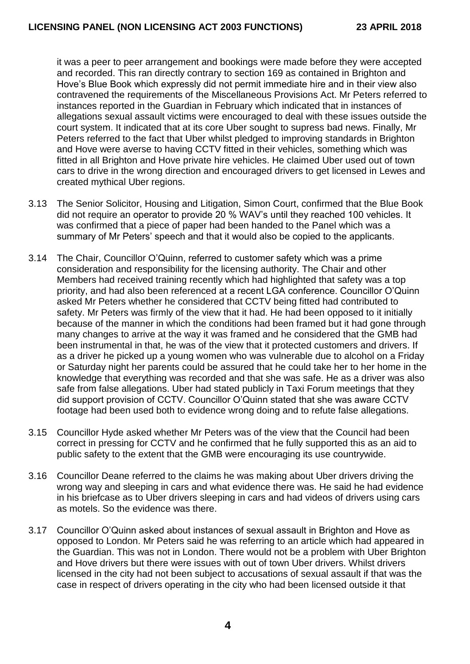it was a peer to peer arrangement and bookings were made before they were accepted and recorded. This ran directly contrary to section 169 as contained in Brighton and Hove's Blue Book which expressly did not permit immediate hire and in their view also contravened the requirements of the Miscellaneous Provisions Act. Mr Peters referred to instances reported in the Guardian in February which indicated that in instances of allegations sexual assault victims were encouraged to deal with these issues outside the court system. It indicated that at its core Uber sought to supress bad news. Finally, Mr Peters referred to the fact that Uber whilst pledged to improving standards in Brighton and Hove were averse to having CCTV fitted in their vehicles, something which was fitted in all Brighton and Hove private hire vehicles. He claimed Uber used out of town cars to drive in the wrong direction and encouraged drivers to get licensed in Lewes and created mythical Uber regions.

- 3.13 The Senior Solicitor, Housing and Litigation, Simon Court, confirmed that the Blue Book did not require an operator to provide 20 % WAV's until they reached 100 vehicles. It was confirmed that a piece of paper had been handed to the Panel which was a summary of Mr Peters' speech and that it would also be copied to the applicants.
- 3.14 The Chair, Councillor O'Quinn, referred to customer safety which was a prime consideration and responsibility for the licensing authority. The Chair and other Members had received training recently which had highlighted that safety was a top priority, and had also been referenced at a recent LGA conference. Councillor O'Quinn asked Mr Peters whether he considered that CCTV being fitted had contributed to safety. Mr Peters was firmly of the view that it had. He had been opposed to it initially because of the manner in which the conditions had been framed but it had gone through many changes to arrive at the way it was framed and he considered that the GMB had been instrumental in that, he was of the view that it protected customers and drivers. If as a driver he picked up a young women who was vulnerable due to alcohol on a Friday or Saturday night her parents could be assured that he could take her to her home in the knowledge that everything was recorded and that she was safe. He as a driver was also safe from false allegations. Uber had stated publicly in Taxi Forum meetings that they did support provision of CCTV. Councillor O'Quinn stated that she was aware CCTV footage had been used both to evidence wrong doing and to refute false allegations.
- 3.15 Councillor Hyde asked whether Mr Peters was of the view that the Council had been correct in pressing for CCTV and he confirmed that he fully supported this as an aid to public safety to the extent that the GMB were encouraging its use countrywide.
- 3.16 Councillor Deane referred to the claims he was making about Uber drivers driving the wrong way and sleeping in cars and what evidence there was. He said he had evidence in his briefcase as to Uber drivers sleeping in cars and had videos of drivers using cars as motels. So the evidence was there.
- 3.17 Councillor O'Quinn asked about instances of sexual assault in Brighton and Hove as opposed to London. Mr Peters said he was referring to an article which had appeared in the Guardian. This was not in London. There would not be a problem with Uber Brighton and Hove drivers but there were issues with out of town Uber drivers. Whilst drivers licensed in the city had not been subject to accusations of sexual assault if that was the case in respect of drivers operating in the city who had been licensed outside it that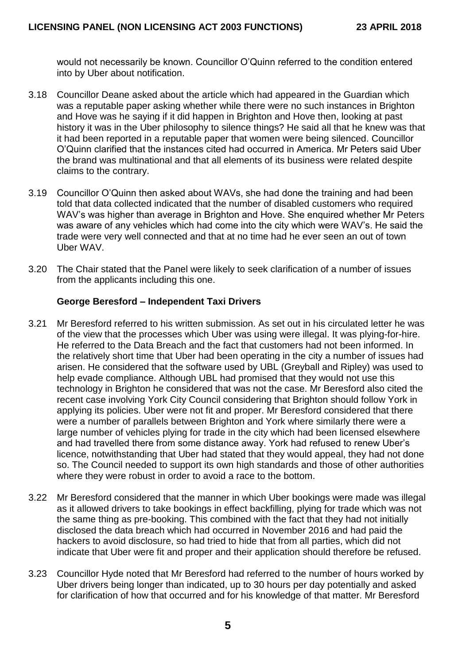would not necessarily be known. Councillor O'Quinn referred to the condition entered into by Uber about notification.

- 3.18 Councillor Deane asked about the article which had appeared in the Guardian which was a reputable paper asking whether while there were no such instances in Brighton and Hove was he saying if it did happen in Brighton and Hove then, looking at past history it was in the Uber philosophy to silence things? He said all that he knew was that it had been reported in a reputable paper that women were being silenced. Councillor O'Quinn clarified that the instances cited had occurred in America. Mr Peters said Uber the brand was multinational and that all elements of its business were related despite claims to the contrary.
- 3.19 Councillor O'Quinn then asked about WAVs, she had done the training and had been told that data collected indicated that the number of disabled customers who required WAV's was higher than average in Brighton and Hove. She enquired whether Mr Peters was aware of any vehicles which had come into the city which were WAV's. He said the trade were very well connected and that at no time had he ever seen an out of town Uber WAV.
- 3.20 The Chair stated that the Panel were likely to seek clarification of a number of issues from the applicants including this one.

## **George Beresford – Independent Taxi Drivers**

- 3.21 Mr Beresford referred to his written submission. As set out in his circulated letter he was of the view that the processes which Uber was using were illegal. It was plying-for-hire. He referred to the Data Breach and the fact that customers had not been informed. In the relatively short time that Uber had been operating in the city a number of issues had arisen. He considered that the software used by UBL (Greyball and Ripley) was used to help evade compliance. Although UBL had promised that they would not use this technology in Brighton he considered that was not the case. Mr Beresford also cited the recent case involving York City Council considering that Brighton should follow York in applying its policies. Uber were not fit and proper. Mr Beresford considered that there were a number of parallels between Brighton and York where similarly there were a large number of vehicles plying for trade in the city which had been licensed elsewhere and had travelled there from some distance away. York had refused to renew Uber's licence, notwithstanding that Uber had stated that they would appeal, they had not done so. The Council needed to support its own high standards and those of other authorities where they were robust in order to avoid a race to the bottom.
- 3.22 Mr Beresford considered that the manner in which Uber bookings were made was illegal as it allowed drivers to take bookings in effect backfilling, plying for trade which was not the same thing as pre-booking. This combined with the fact that they had not initially disclosed the data breach which had occurred in November 2016 and had paid the hackers to avoid disclosure, so had tried to hide that from all parties, which did not indicate that Uber were fit and proper and their application should therefore be refused.
- 3.23 Councillor Hyde noted that Mr Beresford had referred to the number of hours worked by Uber drivers being longer than indicated, up to 30 hours per day potentially and asked for clarification of how that occurred and for his knowledge of that matter. Mr Beresford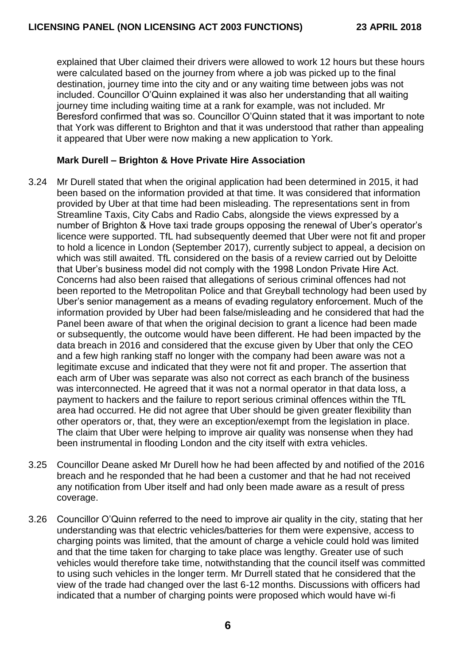explained that Uber claimed their drivers were allowed to work 12 hours but these hours were calculated based on the journey from where a job was picked up to the final destination, journey time into the city and or any waiting time between jobs was not included. Councillor O'Quinn explained it was also her understanding that all waiting journey time including waiting time at a rank for example, was not included. Mr Beresford confirmed that was so. Councillor O'Quinn stated that it was important to note that York was different to Brighton and that it was understood that rather than appealing it appeared that Uber were now making a new application to York.

# **Mark Durell – Brighton & Hove Private Hire Association**

- 3.24 Mr Durell stated that when the original application had been determined in 2015, it had been based on the information provided at that time. It was considered that information provided by Uber at that time had been misleading. The representations sent in from Streamline Taxis, City Cabs and Radio Cabs, alongside the views expressed by a number of Brighton & Hove taxi trade groups opposing the renewal of Uber's operator's licence were supported. TfL had subsequently deemed that Uber were not fit and proper to hold a licence in London (September 2017), currently subject to appeal, a decision on which was still awaited. TfL considered on the basis of a review carried out by Deloitte that Uber's business model did not comply with the 1998 London Private Hire Act. Concerns had also been raised that allegations of serious criminal offences had not been reported to the Metropolitan Police and that Greyball technology had been used by Uber's senior management as a means of evading regulatory enforcement. Much of the information provided by Uber had been false/misleading and he considered that had the Panel been aware of that when the original decision to grant a licence had been made or subsequently, the outcome would have been different. He had been impacted by the data breach in 2016 and considered that the excuse given by Uber that only the CEO and a few high ranking staff no longer with the company had been aware was not a legitimate excuse and indicated that they were not fit and proper. The assertion that each arm of Uber was separate was also not correct as each branch of the business was interconnected. He agreed that it was not a normal operator in that data loss, a payment to hackers and the failure to report serious criminal offences within the TfL area had occurred. He did not agree that Uber should be given greater flexibility than other operators or, that, they were an exception/exempt from the legislation in place. The claim that Uber were helping to improve air quality was nonsense when they had been instrumental in flooding London and the city itself with extra vehicles.
- 3.25 Councillor Deane asked Mr Durell how he had been affected by and notified of the 2016 breach and he responded that he had been a customer and that he had not received any notification from Uber itself and had only been made aware as a result of press coverage.
- 3.26 Councillor O'Quinn referred to the need to improve air quality in the city, stating that her understanding was that electric vehicles/batteries for them were expensive, access to charging points was limited, that the amount of charge a vehicle could hold was limited and that the time taken for charging to take place was lengthy. Greater use of such vehicles would therefore take time, notwithstanding that the council itself was committed to using such vehicles in the longer term. Mr Durrell stated that he considered that the view of the trade had changed over the last 6-12 months. Discussions with officers had indicated that a number of charging points were proposed which would have wi-fi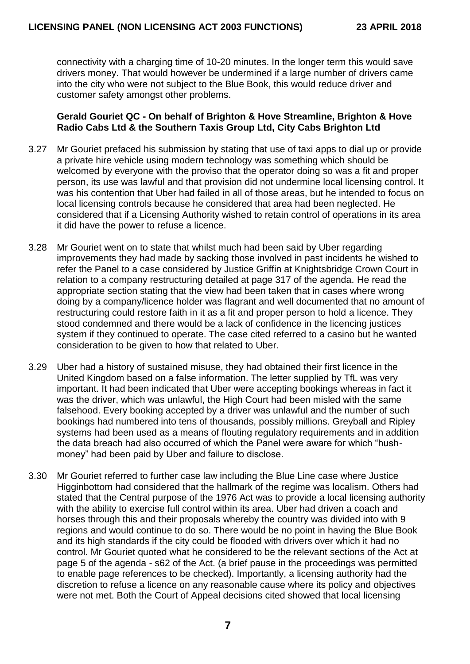connectivity with a charging time of 10-20 minutes. In the longer term this would save drivers money. That would however be undermined if a large number of drivers came into the city who were not subject to the Blue Book, this would reduce driver and customer safety amongst other problems.

### **Gerald Gouriet QC - On behalf of Brighton & Hove Streamline, Brighton & Hove Radio Cabs Ltd & the Southern Taxis Group Ltd, City Cabs Brighton Ltd**

- 3.27 Mr Gouriet prefaced his submission by stating that use of taxi apps to dial up or provide a private hire vehicle using modern technology was something which should be welcomed by everyone with the proviso that the operator doing so was a fit and proper person, its use was lawful and that provision did not undermine local licensing control. It was his contention that Uber had failed in all of those areas, but he intended to focus on local licensing controls because he considered that area had been neglected. He considered that if a Licensing Authority wished to retain control of operations in its area it did have the power to refuse a licence.
- 3.28 Mr Gouriet went on to state that whilst much had been said by Uber regarding improvements they had made by sacking those involved in past incidents he wished to refer the Panel to a case considered by Justice Griffin at Knightsbridge Crown Court in relation to a company restructuring detailed at page 317 of the agenda. He read the appropriate section stating that the view had been taken that in cases where wrong doing by a company/licence holder was flagrant and well documented that no amount of restructuring could restore faith in it as a fit and proper person to hold a licence. They stood condemned and there would be a lack of confidence in the licencing justices system if they continued to operate. The case cited referred to a casino but he wanted consideration to be given to how that related to Uber.
- 3.29 Uber had a history of sustained misuse, they had obtained their first licence in the United Kingdom based on a false information. The letter supplied by TfL was very important. It had been indicated that Uber were accepting bookings whereas in fact it was the driver, which was unlawful, the High Court had been misled with the same falsehood. Every booking accepted by a driver was unlawful and the number of such bookings had numbered into tens of thousands, possibly millions. Greyball and Ripley systems had been used as a means of flouting regulatory requirements and in addition the data breach had also occurred of which the Panel were aware for which "hushmoney" had been paid by Uber and failure to disclose.
- 3.30 Mr Gouriet referred to further case law including the Blue Line case where Justice Higginbottom had considered that the hallmark of the regime was localism. Others had stated that the Central purpose of the 1976 Act was to provide a local licensing authority with the ability to exercise full control within its area. Uber had driven a coach and horses through this and their proposals whereby the country was divided into with 9 regions and would continue to do so. There would be no point in having the Blue Book and its high standards if the city could be flooded with drivers over which it had no control. Mr Gouriet quoted what he considered to be the relevant sections of the Act at page 5 of the agenda - s62 of the Act. (a brief pause in the proceedings was permitted to enable page references to be checked). Importantly, a licensing authority had the discretion to refuse a licence on any reasonable cause where its policy and objectives were not met. Both the Court of Appeal decisions cited showed that local licensing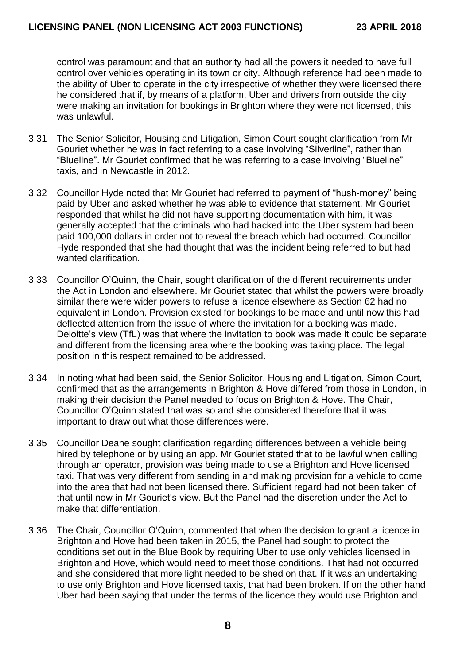control was paramount and that an authority had all the powers it needed to have full control over vehicles operating in its town or city. Although reference had been made to the ability of Uber to operate in the city irrespective of whether they were licensed there he considered that if, by means of a platform, Uber and drivers from outside the city were making an invitation for bookings in Brighton where they were not licensed, this was unlawful.

- 3.31 The Senior Solicitor, Housing and Litigation, Simon Court sought clarification from Mr Gouriet whether he was in fact referring to a case involving "Silverline", rather than "Blueline". Mr Gouriet confirmed that he was referring to a case involving "Blueline" taxis, and in Newcastle in 2012.
- 3.32 Councillor Hyde noted that Mr Gouriet had referred to payment of "hush-money" being paid by Uber and asked whether he was able to evidence that statement. Mr Gouriet responded that whilst he did not have supporting documentation with him, it was generally accepted that the criminals who had hacked into the Uber system had been paid 100,000 dollars in order not to reveal the breach which had occurred. Councillor Hyde responded that she had thought that was the incident being referred to but had wanted clarification.
- 3.33 Councillor O'Quinn, the Chair, sought clarification of the different requirements under the Act in London and elsewhere. Mr Gouriet stated that whilst the powers were broadly similar there were wider powers to refuse a licence elsewhere as Section 62 had no equivalent in London. Provision existed for bookings to be made and until now this had deflected attention from the issue of where the invitation for a booking was made. Deloitte's view (TfL) was that where the invitation to book was made it could be separate and different from the licensing area where the booking was taking place. The legal position in this respect remained to be addressed.
- 3.34 In noting what had been said, the Senior Solicitor, Housing and Litigation, Simon Court, confirmed that as the arrangements in Brighton & Hove differed from those in London, in making their decision the Panel needed to focus on Brighton & Hove. The Chair, Councillor O'Quinn stated that was so and she considered therefore that it was important to draw out what those differences were.
- 3.35 Councillor Deane sought clarification regarding differences between a vehicle being hired by telephone or by using an app. Mr Gouriet stated that to be lawful when calling through an operator, provision was being made to use a Brighton and Hove licensed taxi. That was very different from sending in and making provision for a vehicle to come into the area that had not been licensed there. Sufficient regard had not been taken of that until now in Mr Gouriet's view. But the Panel had the discretion under the Act to make that differentiation.
- 3.36 The Chair, Councillor O'Quinn, commented that when the decision to grant a licence in Brighton and Hove had been taken in 2015, the Panel had sought to protect the conditions set out in the Blue Book by requiring Uber to use only vehicles licensed in Brighton and Hove, which would need to meet those conditions. That had not occurred and she considered that more light needed to be shed on that. If it was an undertaking to use only Brighton and Hove licensed taxis, that had been broken. If on the other hand Uber had been saying that under the terms of the licence they would use Brighton and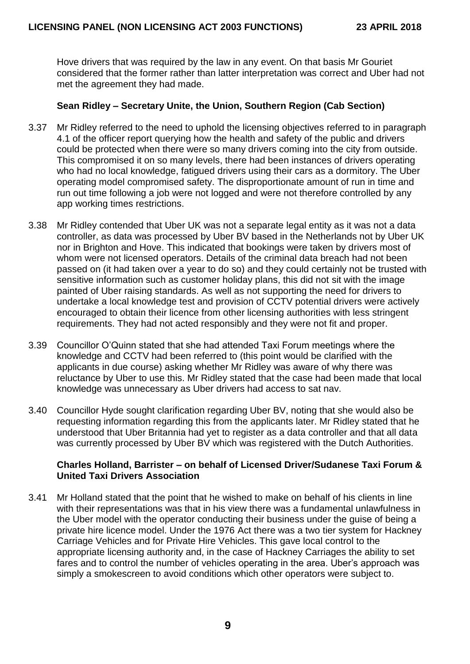Hove drivers that was required by the law in any event. On that basis Mr Gouriet considered that the former rather than latter interpretation was correct and Uber had not met the agreement they had made.

# **Sean Ridley – Secretary Unite, the Union, Southern Region (Cab Section)**

- 3.37 Mr Ridley referred to the need to uphold the licensing objectives referred to in paragraph 4.1 of the officer report querying how the health and safety of the public and drivers could be protected when there were so many drivers coming into the city from outside. This compromised it on so many levels, there had been instances of drivers operating who had no local knowledge, fatigued drivers using their cars as a dormitory. The Uber operating model compromised safety. The disproportionate amount of run in time and run out time following a job were not logged and were not therefore controlled by any app working times restrictions.
- 3.38 Mr Ridley contended that Uber UK was not a separate legal entity as it was not a data controller, as data was processed by Uber BV based in the Netherlands not by Uber UK nor in Brighton and Hove. This indicated that bookings were taken by drivers most of whom were not licensed operators. Details of the criminal data breach had not been passed on (it had taken over a year to do so) and they could certainly not be trusted with sensitive information such as customer holiday plans, this did not sit with the image painted of Uber raising standards. As well as not supporting the need for drivers to undertake a local knowledge test and provision of CCTV potential drivers were actively encouraged to obtain their licence from other licensing authorities with less stringent requirements. They had not acted responsibly and they were not fit and proper.
- 3.39 Councillor O'Quinn stated that she had attended Taxi Forum meetings where the knowledge and CCTV had been referred to (this point would be clarified with the applicants in due course) asking whether Mr Ridley was aware of why there was reluctance by Uber to use this. Mr Ridley stated that the case had been made that local knowledge was unnecessary as Uber drivers had access to sat nav.
- 3.40 Councillor Hyde sought clarification regarding Uber BV, noting that she would also be requesting information regarding this from the applicants later. Mr Ridley stated that he understood that Uber Britannia had yet to register as a data controller and that all data was currently processed by Uber BV which was registered with the Dutch Authorities.

## **Charles Holland, Barrister – on behalf of Licensed Driver/Sudanese Taxi Forum & United Taxi Drivers Association**

3.41 Mr Holland stated that the point that he wished to make on behalf of his clients in line with their representations was that in his view there was a fundamental unlawfulness in the Uber model with the operator conducting their business under the guise of being a private hire licence model. Under the 1976 Act there was a two tier system for Hackney Carriage Vehicles and for Private Hire Vehicles. This gave local control to the appropriate licensing authority and, in the case of Hackney Carriages the ability to set fares and to control the number of vehicles operating in the area. Uber's approach was simply a smokescreen to avoid conditions which other operators were subject to.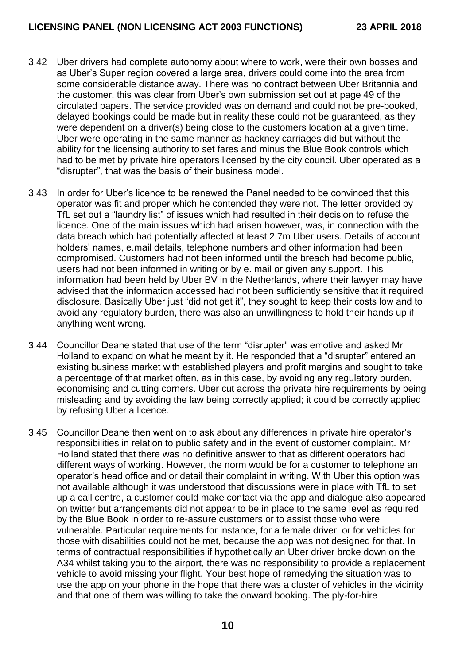- 3.42 Uber drivers had complete autonomy about where to work, were their own bosses and as Uber's Super region covered a large area, drivers could come into the area from some considerable distance away. There was no contract between Uber Britannia and the customer, this was clear from Uber's own submission set out at page 49 of the circulated papers. The service provided was on demand and could not be pre-booked, delayed bookings could be made but in reality these could not be guaranteed, as they were dependent on a driver(s) being close to the customers location at a given time. Uber were operating in the same manner as hackney carriages did but without the ability for the licensing authority to set fares and minus the Blue Book controls which had to be met by private hire operators licensed by the city council. Uber operated as a "disrupter", that was the basis of their business model.
- 3.43 In order for Uber's licence to be renewed the Panel needed to be convinced that this operator was fit and proper which he contended they were not. The letter provided by TfL set out a "laundry list" of issues which had resulted in their decision to refuse the licence. One of the main issues which had arisen however, was, in connection with the data breach which had potentially affected at least 2.7m Uber users. Details of account holders' names, e.mail details, telephone numbers and other information had been compromised. Customers had not been informed until the breach had become public, users had not been informed in writing or by e. mail or given any support. This information had been held by Uber BV in the Netherlands, where their lawyer may have advised that the information accessed had not been sufficiently sensitive that it required disclosure. Basically Uber just "did not get it", they sought to keep their costs low and to avoid any regulatory burden, there was also an unwillingness to hold their hands up if anything went wrong.
- 3.44 Councillor Deane stated that use of the term "disrupter" was emotive and asked Mr Holland to expand on what he meant by it. He responded that a "disrupter" entered an existing business market with established players and profit margins and sought to take a percentage of that market often, as in this case, by avoiding any regulatory burden, economising and cutting corners. Uber cut across the private hire requirements by being misleading and by avoiding the law being correctly applied; it could be correctly applied by refusing Uber a licence.
- 3.45 Councillor Deane then went on to ask about any differences in private hire operator's responsibilities in relation to public safety and in the event of customer complaint. Mr Holland stated that there was no definitive answer to that as different operators had different ways of working. However, the norm would be for a customer to telephone an operator's head office and or detail their complaint in writing. With Uber this option was not available although it was understood that discussions were in place with TfL to set up a call centre, a customer could make contact via the app and dialogue also appeared on twitter but arrangements did not appear to be in place to the same level as required by the Blue Book in order to re-assure customers or to assist those who were vulnerable. Particular requirements for instance, for a female driver, or for vehicles for those with disabilities could not be met, because the app was not designed for that. In terms of contractual responsibilities if hypothetically an Uber driver broke down on the A34 whilst taking you to the airport, there was no responsibility to provide a replacement vehicle to avoid missing your flight. Your best hope of remedying the situation was to use the app on your phone in the hope that there was a cluster of vehicles in the vicinity and that one of them was willing to take the onward booking. The ply-for-hire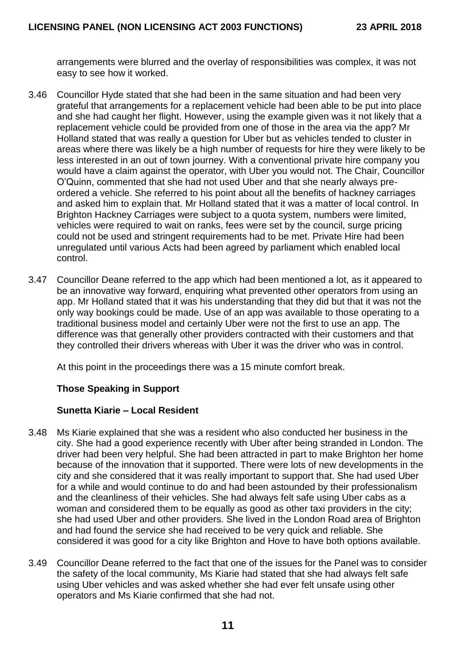arrangements were blurred and the overlay of responsibilities was complex, it was not easy to see how it worked.

- 3.46 Councillor Hyde stated that she had been in the same situation and had been very grateful that arrangements for a replacement vehicle had been able to be put into place and she had caught her flight. However, using the example given was it not likely that a replacement vehicle could be provided from one of those in the area via the app? Mr Holland stated that was really a question for Uber but as vehicles tended to cluster in areas where there was likely be a high number of requests for hire they were likely to be less interested in an out of town journey. With a conventional private hire company you would have a claim against the operator, with Uber you would not. The Chair, Councillor O'Quinn, commented that she had not used Uber and that she nearly always preordered a vehicle. She referred to his point about all the benefits of hackney carriages and asked him to explain that. Mr Holland stated that it was a matter of local control. In Brighton Hackney Carriages were subject to a quota system, numbers were limited, vehicles were required to wait on ranks, fees were set by the council, surge pricing could not be used and stringent requirements had to be met. Private Hire had been unregulated until various Acts had been agreed by parliament which enabled local control.
- 3.47 Councillor Deane referred to the app which had been mentioned a lot, as it appeared to be an innovative way forward, enquiring what prevented other operators from using an app. Mr Holland stated that it was his understanding that they did but that it was not the only way bookings could be made. Use of an app was available to those operating to a traditional business model and certainly Uber were not the first to use an app. The difference was that generally other providers contracted with their customers and that they controlled their drivers whereas with Uber it was the driver who was in control.

At this point in the proceedings there was a 15 minute comfort break.

## **Those Speaking in Support**

#### **Sunetta Kiarie – Local Resident**

- 3.48 Ms Kiarie explained that she was a resident who also conducted her business in the city. She had a good experience recently with Uber after being stranded in London. The driver had been very helpful. She had been attracted in part to make Brighton her home because of the innovation that it supported. There were lots of new developments in the city and she considered that it was really important to support that. She had used Uber for a while and would continue to do and had been astounded by their professionalism and the cleanliness of their vehicles. She had always felt safe using Uber cabs as a woman and considered them to be equally as good as other taxi providers in the city; she had used Uber and other providers. She lived in the London Road area of Brighton and had found the service she had received to be very quick and reliable. She considered it was good for a city like Brighton and Hove to have both options available.
- 3.49 Councillor Deane referred to the fact that one of the issues for the Panel was to consider the safety of the local community, Ms Kiarie had stated that she had always felt safe using Uber vehicles and was asked whether she had ever felt unsafe using other operators and Ms Kiarie confirmed that she had not.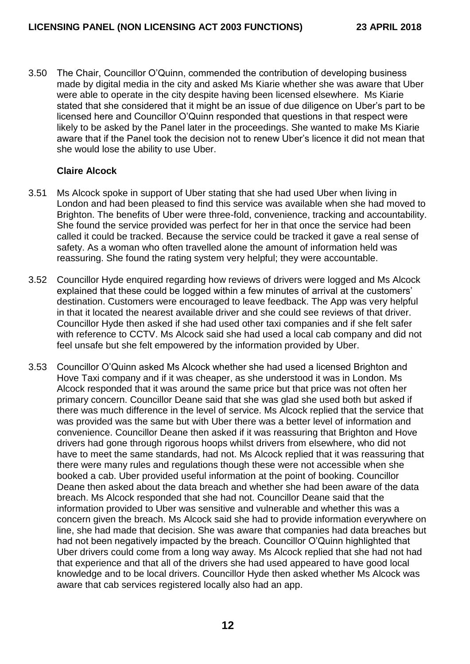3.50 The Chair, Councillor O'Quinn, commended the contribution of developing business made by digital media in the city and asked Ms Kiarie whether she was aware that Uber were able to operate in the city despite having been licensed elsewhere. Ms Kiarie stated that she considered that it might be an issue of due diligence on Uber's part to be licensed here and Councillor O'Quinn responded that questions in that respect were likely to be asked by the Panel later in the proceedings. She wanted to make Ms Kiarie aware that if the Panel took the decision not to renew Uber's licence it did not mean that she would lose the ability to use Uber.

## **Claire Alcock**

- 3.51 Ms Alcock spoke in support of Uber stating that she had used Uber when living in London and had been pleased to find this service was available when she had moved to Brighton. The benefits of Uber were three-fold, convenience, tracking and accountability. She found the service provided was perfect for her in that once the service had been called it could be tracked. Because the service could be tracked it gave a real sense of safety. As a woman who often travelled alone the amount of information held was reassuring. She found the rating system very helpful; they were accountable.
- 3.52 Councillor Hyde enquired regarding how reviews of drivers were logged and Ms Alcock explained that these could be logged within a few minutes of arrival at the customers' destination. Customers were encouraged to leave feedback. The App was very helpful in that it located the nearest available driver and she could see reviews of that driver. Councillor Hyde then asked if she had used other taxi companies and if she felt safer with reference to CCTV. Ms Alcock said she had used a local cab company and did not feel unsafe but she felt empowered by the information provided by Uber.
- 3.53 Councillor O'Quinn asked Ms Alcock whether she had used a licensed Brighton and Hove Taxi company and if it was cheaper, as she understood it was in London. Ms Alcock responded that it was around the same price but that price was not often her primary concern. Councillor Deane said that she was glad she used both but asked if there was much difference in the level of service. Ms Alcock replied that the service that was provided was the same but with Uber there was a better level of information and convenience. Councillor Deane then asked if it was reassuring that Brighton and Hove drivers had gone through rigorous hoops whilst drivers from elsewhere, who did not have to meet the same standards, had not. Ms Alcock replied that it was reassuring that there were many rules and regulations though these were not accessible when she booked a cab. Uber provided useful information at the point of booking. Councillor Deane then asked about the data breach and whether she had been aware of the data breach. Ms Alcock responded that she had not. Councillor Deane said that the information provided to Uber was sensitive and vulnerable and whether this was a concern given the breach. Ms Alcock said she had to provide information everywhere on line, she had made that decision. She was aware that companies had data breaches but had not been negatively impacted by the breach. Councillor O'Quinn highlighted that Uber drivers could come from a long way away. Ms Alcock replied that she had not had that experience and that all of the drivers she had used appeared to have good local knowledge and to be local drivers. Councillor Hyde then asked whether Ms Alcock was aware that cab services registered locally also had an app.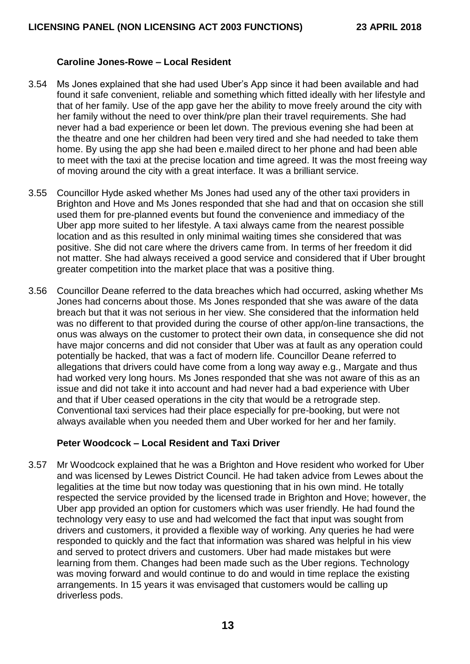### **Caroline Jones-Rowe – Local Resident**

- 3.54 Ms Jones explained that she had used Uber's App since it had been available and had found it safe convenient, reliable and something which fitted ideally with her lifestyle and that of her family. Use of the app gave her the ability to move freely around the city with her family without the need to over think/pre plan their travel requirements. She had never had a bad experience or been let down. The previous evening she had been at the theatre and one her children had been very tired and she had needed to take them home. By using the app she had been e.mailed direct to her phone and had been able to meet with the taxi at the precise location and time agreed. It was the most freeing way of moving around the city with a great interface. It was a brilliant service.
- 3.55 Councillor Hyde asked whether Ms Jones had used any of the other taxi providers in Brighton and Hove and Ms Jones responded that she had and that on occasion she still used them for pre-planned events but found the convenience and immediacy of the Uber app more suited to her lifestyle. A taxi always came from the nearest possible location and as this resulted in only minimal waiting times she considered that was positive. She did not care where the drivers came from. In terms of her freedom it did not matter. She had always received a good service and considered that if Uber brought greater competition into the market place that was a positive thing.
- 3.56 Councillor Deane referred to the data breaches which had occurred, asking whether Ms Jones had concerns about those. Ms Jones responded that she was aware of the data breach but that it was not serious in her view. She considered that the information held was no different to that provided during the course of other app/on-line transactions, the onus was always on the customer to protect their own data, in consequence she did not have major concerns and did not consider that Uber was at fault as any operation could potentially be hacked, that was a fact of modern life. Councillor Deane referred to allegations that drivers could have come from a long way away e.g., Margate and thus had worked very long hours. Ms Jones responded that she was not aware of this as an issue and did not take it into account and had never had a bad experience with Uber and that if Uber ceased operations in the city that would be a retrograde step. Conventional taxi services had their place especially for pre-booking, but were not always available when you needed them and Uber worked for her and her family.

## **Peter Woodcock – Local Resident and Taxi Driver**

3.57 Mr Woodcock explained that he was a Brighton and Hove resident who worked for Uber and was licensed by Lewes District Council. He had taken advice from Lewes about the legalities at the time but now today was questioning that in his own mind. He totally respected the service provided by the licensed trade in Brighton and Hove; however, the Uber app provided an option for customers which was user friendly. He had found the technology very easy to use and had welcomed the fact that input was sought from drivers and customers, it provided a flexible way of working. Any queries he had were responded to quickly and the fact that information was shared was helpful in his view and served to protect drivers and customers. Uber had made mistakes but were learning from them. Changes had been made such as the Uber regions. Technology was moving forward and would continue to do and would in time replace the existing arrangements. In 15 years it was envisaged that customers would be calling up driverless pods.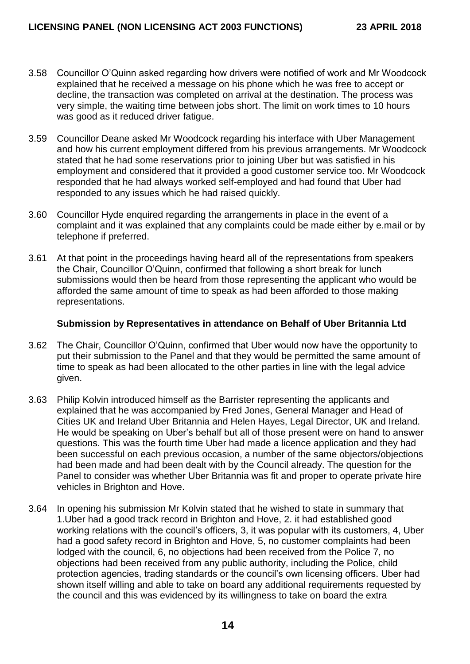- 3.58 Councillor O'Quinn asked regarding how drivers were notified of work and Mr Woodcock explained that he received a message on his phone which he was free to accept or decline, the transaction was completed on arrival at the destination. The process was very simple, the waiting time between jobs short. The limit on work times to 10 hours was good as it reduced driver fatigue.
- 3.59 Councillor Deane asked Mr Woodcock regarding his interface with Uber Management and how his current employment differed from his previous arrangements. Mr Woodcock stated that he had some reservations prior to joining Uber but was satisfied in his employment and considered that it provided a good customer service too. Mr Woodcock responded that he had always worked self-employed and had found that Uber had responded to any issues which he had raised quickly.
- 3.60 Councillor Hyde enquired regarding the arrangements in place in the event of a complaint and it was explained that any complaints could be made either by e.mail or by telephone if preferred.
- 3.61 At that point in the proceedings having heard all of the representations from speakers the Chair, Councillor O'Quinn, confirmed that following a short break for lunch submissions would then be heard from those representing the applicant who would be afforded the same amount of time to speak as had been afforded to those making representations.

#### **Submission by Representatives in attendance on Behalf of Uber Britannia Ltd**

- 3.62 The Chair, Councillor O'Quinn, confirmed that Uber would now have the opportunity to put their submission to the Panel and that they would be permitted the same amount of time to speak as had been allocated to the other parties in line with the legal advice given.
- 3.63 Philip Kolvin introduced himself as the Barrister representing the applicants and explained that he was accompanied by Fred Jones, General Manager and Head of Cities UK and Ireland Uber Britannia and Helen Hayes, Legal Director, UK and Ireland. He would be speaking on Uber's behalf but all of those present were on hand to answer questions. This was the fourth time Uber had made a licence application and they had been successful on each previous occasion, a number of the same objectors/objections had been made and had been dealt with by the Council already. The question for the Panel to consider was whether Uber Britannia was fit and proper to operate private hire vehicles in Brighton and Hove.
- 3.64 In opening his submission Mr Kolvin stated that he wished to state in summary that 1.Uber had a good track record in Brighton and Hove, 2. it had established good working relations with the council's officers, 3, it was popular with its customers, 4, Uber had a good safety record in Brighton and Hove, 5, no customer complaints had been lodged with the council, 6, no objections had been received from the Police 7, no objections had been received from any public authority, including the Police, child protection agencies, trading standards or the council's own licensing officers. Uber had shown itself willing and able to take on board any additional requirements requested by the council and this was evidenced by its willingness to take on board the extra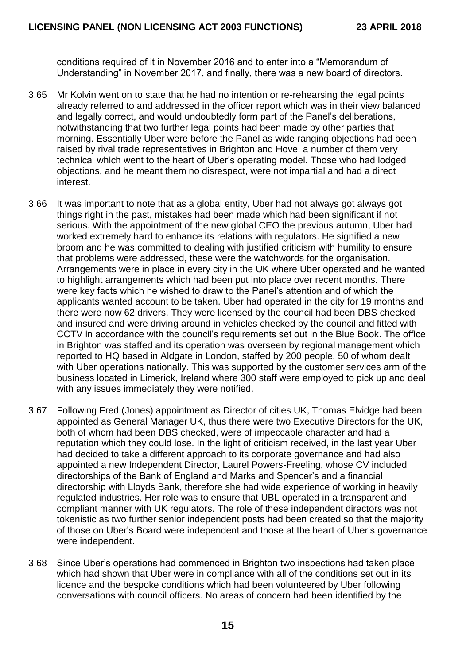conditions required of it in November 2016 and to enter into a "Memorandum of Understanding" in November 2017, and finally, there was a new board of directors.

- 3.65 Mr Kolvin went on to state that he had no intention or re-rehearsing the legal points already referred to and addressed in the officer report which was in their view balanced and legally correct, and would undoubtedly form part of the Panel's deliberations, notwithstanding that two further legal points had been made by other parties that morning. Essentially Uber were before the Panel as wide ranging objections had been raised by rival trade representatives in Brighton and Hove, a number of them very technical which went to the heart of Uber's operating model. Those who had lodged objections, and he meant them no disrespect, were not impartial and had a direct interest.
- 3.66 It was important to note that as a global entity, Uber had not always got always got things right in the past, mistakes had been made which had been significant if not serious. With the appointment of the new global CEO the previous autumn, Uber had worked extremely hard to enhance its relations with regulators. He signified a new broom and he was committed to dealing with justified criticism with humility to ensure that problems were addressed, these were the watchwords for the organisation. Arrangements were in place in every city in the UK where Uber operated and he wanted to highlight arrangements which had been put into place over recent months. There were key facts which he wished to draw to the Panel's attention and of which the applicants wanted account to be taken. Uber had operated in the city for 19 months and there were now 62 drivers. They were licensed by the council had been DBS checked and insured and were driving around in vehicles checked by the council and fitted with CCTV in accordance with the council's requirements set out in the Blue Book. The office in Brighton was staffed and its operation was overseen by regional management which reported to HQ based in Aldgate in London, staffed by 200 people, 50 of whom dealt with Uber operations nationally. This was supported by the customer services arm of the business located in Limerick, Ireland where 300 staff were employed to pick up and deal with any issues immediately they were notified.
- 3.67 Following Fred (Jones) appointment as Director of cities UK, Thomas Elvidge had been appointed as General Manager UK, thus there were two Executive Directors for the UK, both of whom had been DBS checked, were of impeccable character and had a reputation which they could lose. In the light of criticism received, in the last year Uber had decided to take a different approach to its corporate governance and had also appointed a new Independent Director, Laurel Powers-Freeling, whose CV included directorships of the Bank of England and Marks and Spencer's and a financial directorship with Lloyds Bank, therefore she had wide experience of working in heavily regulated industries. Her role was to ensure that UBL operated in a transparent and compliant manner with UK regulators. The role of these independent directors was not tokenistic as two further senior independent posts had been created so that the majority of those on Uber's Board were independent and those at the heart of Uber's governance were independent.
- 3.68 Since Uber's operations had commenced in Brighton two inspections had taken place which had shown that Uber were in compliance with all of the conditions set out in its licence and the bespoke conditions which had been volunteered by Uber following conversations with council officers. No areas of concern had been identified by the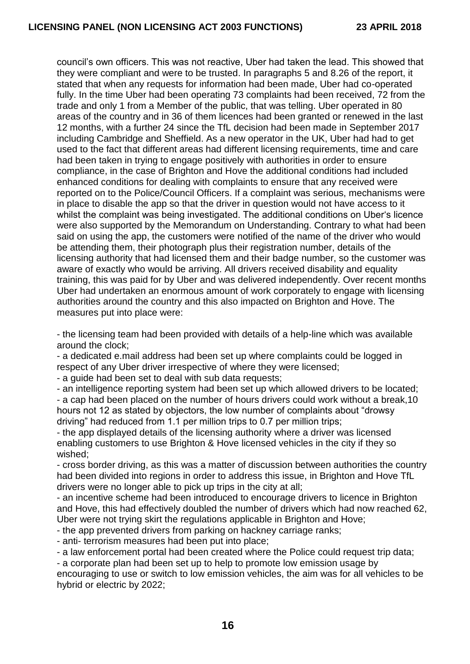council's own officers. This was not reactive, Uber had taken the lead. This showed that they were compliant and were to be trusted. In paragraphs 5 and 8.26 of the report, it stated that when any requests for information had been made, Uber had co-operated fully. In the time Uber had been operating 73 complaints had been received, 72 from the trade and only 1 from a Member of the public, that was telling. Uber operated in 80 areas of the country and in 36 of them licences had been granted or renewed in the last 12 months, with a further 24 since the TfL decision had been made in September 2017 including Cambridge and Sheffield. As a new operator in the UK, Uber had had to get used to the fact that different areas had different licensing requirements, time and care had been taken in trying to engage positively with authorities in order to ensure compliance, in the case of Brighton and Hove the additional conditions had included enhanced conditions for dealing with complaints to ensure that any received were reported on to the Police/Council Officers. If a complaint was serious, mechanisms were in place to disable the app so that the driver in question would not have access to it whilst the complaint was being investigated. The additional conditions on Uber's licence were also supported by the Memorandum on Understanding. Contrary to what had been said on using the app, the customers were notified of the name of the driver who would be attending them, their photograph plus their registration number, details of the licensing authority that had licensed them and their badge number, so the customer was aware of exactly who would be arriving. All drivers received disability and equality training, this was paid for by Uber and was delivered independently. Over recent months Uber had undertaken an enormous amount of work corporately to engage with licensing authorities around the country and this also impacted on Brighton and Hove. The measures put into place were:

- the licensing team had been provided with details of a help-line which was available around the clock;

- a dedicated e.mail address had been set up where complaints could be logged in respect of any Uber driver irrespective of where they were licensed;

- a guide had been set to deal with sub data requests;

- an intelligence reporting system had been set up which allowed drivers to be located; - a cap had been placed on the number of hours drivers could work without a break,10 hours not 12 as stated by objectors, the low number of complaints about "drowsy driving" had reduced from 1.1 per million trips to 0.7 per million trips;

- the app displayed details of the licensing authority where a driver was licensed enabling customers to use Brighton & Hove licensed vehicles in the city if they so wished;

- cross border driving, as this was a matter of discussion between authorities the country had been divided into regions in order to address this issue, in Brighton and Hove TfL drivers were no longer able to pick up trips in the city at all;

- an incentive scheme had been introduced to encourage drivers to licence in Brighton and Hove, this had effectively doubled the number of drivers which had now reached 62, Uber were not trying skirt the regulations applicable in Brighton and Hove;

- the app prevented drivers from parking on hackney carriage ranks;

- anti- terrorism measures had been put into place;

- a law enforcement portal had been created where the Police could request trip data;

- a corporate plan had been set up to help to promote low emission usage by

encouraging to use or switch to low emission vehicles, the aim was for all vehicles to be hybrid or electric by 2022;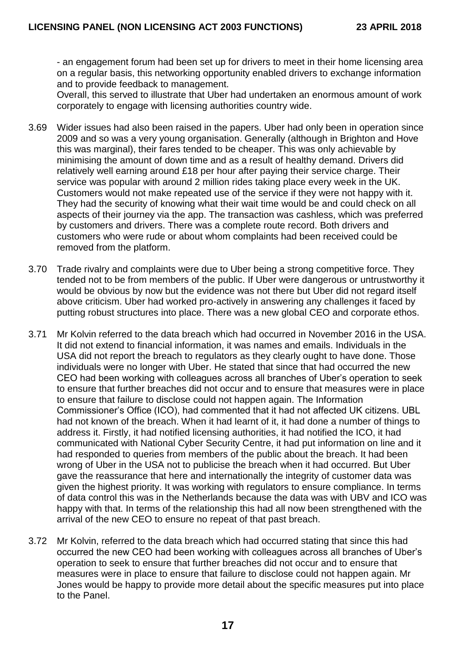- an engagement forum had been set up for drivers to meet in their home licensing area on a regular basis, this networking opportunity enabled drivers to exchange information and to provide feedback to management.

Overall, this served to illustrate that Uber had undertaken an enormous amount of work corporately to engage with licensing authorities country wide.

- 3.69 Wider issues had also been raised in the papers. Uber had only been in operation since 2009 and so was a very young organisation. Generally (although in Brighton and Hove this was marginal), their fares tended to be cheaper. This was only achievable by minimising the amount of down time and as a result of healthy demand. Drivers did relatively well earning around £18 per hour after paying their service charge. Their service was popular with around 2 million rides taking place every week in the UK. Customers would not make repeated use of the service if they were not happy with it. They had the security of knowing what their wait time would be and could check on all aspects of their journey via the app. The transaction was cashless, which was preferred by customers and drivers. There was a complete route record. Both drivers and customers who were rude or about whom complaints had been received could be removed from the platform.
- 3.70 Trade rivalry and complaints were due to Uber being a strong competitive force. They tended not to be from members of the public. If Uber were dangerous or untrustworthy it would be obvious by now but the evidence was not there but Uber did not regard itself above criticism. Uber had worked pro-actively in answering any challenges it faced by putting robust structures into place. There was a new global CEO and corporate ethos.
- 3.71 Mr Kolvin referred to the data breach which had occurred in November 2016 in the USA. It did not extend to financial information, it was names and emails. Individuals in the USA did not report the breach to regulators as they clearly ought to have done. Those individuals were no longer with Uber. He stated that since that had occurred the new CEO had been working with colleagues across all branches of Uber's operation to seek to ensure that further breaches did not occur and to ensure that measures were in place to ensure that failure to disclose could not happen again. The Information Commissioner's Office (ICO), had commented that it had not affected UK citizens. UBL had not known of the breach. When it had learnt of it, it had done a number of things to address it. Firstly, it had notified licensing authorities, it had notified the ICO, it had communicated with National Cyber Security Centre, it had put information on line and it had responded to queries from members of the public about the breach. It had been wrong of Uber in the USA not to publicise the breach when it had occurred. But Uber gave the reassurance that here and internationally the integrity of customer data was given the highest priority. It was working with regulators to ensure compliance. In terms of data control this was in the Netherlands because the data was with UBV and ICO was happy with that. In terms of the relationship this had all now been strengthened with the arrival of the new CEO to ensure no repeat of that past breach.
- 3.72 Mr Kolvin, referred to the data breach which had occurred stating that since this had occurred the new CEO had been working with colleagues across all branches of Uber's operation to seek to ensure that further breaches did not occur and to ensure that measures were in place to ensure that failure to disclose could not happen again. Mr Jones would be happy to provide more detail about the specific measures put into place to the Panel.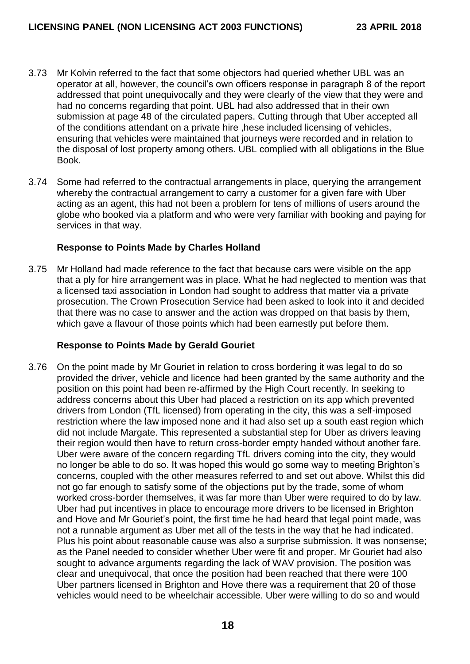- 3.73 Mr Kolvin referred to the fact that some objectors had queried whether UBL was an operator at all, however, the council's own officers response in paragraph 8 of the report addressed that point unequivocally and they were clearly of the view that they were and had no concerns regarding that point. UBL had also addressed that in their own submission at page 48 of the circulated papers. Cutting through that Uber accepted all of the conditions attendant on a private hire ,hese included licensing of vehicles, ensuring that vehicles were maintained that journeys were recorded and in relation to the disposal of lost property among others. UBL complied with all obligations in the Blue Book.
- 3.74 Some had referred to the contractual arrangements in place, querying the arrangement whereby the contractual arrangement to carry a customer for a given fare with Uber acting as an agent, this had not been a problem for tens of millions of users around the globe who booked via a platform and who were very familiar with booking and paying for services in that way.

## **Response to Points Made by Charles Holland**

3.75 Mr Holland had made reference to the fact that because cars were visible on the app that a ply for hire arrangement was in place. What he had neglected to mention was that a licensed taxi association in London had sought to address that matter via a private prosecution. The Crown Prosecution Service had been asked to look into it and decided that there was no case to answer and the action was dropped on that basis by them, which gave a flavour of those points which had been earnestly put before them.

## **Response to Points Made by Gerald Gouriet**

3.76 On the point made by Mr Gouriet in relation to cross bordering it was legal to do so provided the driver, vehicle and licence had been granted by the same authority and the position on this point had been re-affirmed by the High Court recently. In seeking to address concerns about this Uber had placed a restriction on its app which prevented drivers from London (TfL licensed) from operating in the city, this was a self-imposed restriction where the law imposed none and it had also set up a south east region which did not include Margate. This represented a substantial step for Uber as drivers leaving their region would then have to return cross-border empty handed without another fare. Uber were aware of the concern regarding TfL drivers coming into the city, they would no longer be able to do so. It was hoped this would go some way to meeting Brighton's concerns, coupled with the other measures referred to and set out above. Whilst this did not go far enough to satisfy some of the objections put by the trade, some of whom worked cross-border themselves, it was far more than Uber were required to do by law. Uber had put incentives in place to encourage more drivers to be licensed in Brighton and Hove and Mr Gouriet's point, the first time he had heard that legal point made, was not a runnable argument as Uber met all of the tests in the way that he had indicated. Plus his point about reasonable cause was also a surprise submission. It was nonsense; as the Panel needed to consider whether Uber were fit and proper. Mr Gouriet had also sought to advance arguments regarding the lack of WAV provision. The position was clear and unequivocal, that once the position had been reached that there were 100 Uber partners licensed in Brighton and Hove there was a requirement that 20 of those vehicles would need to be wheelchair accessible. Uber were willing to do so and would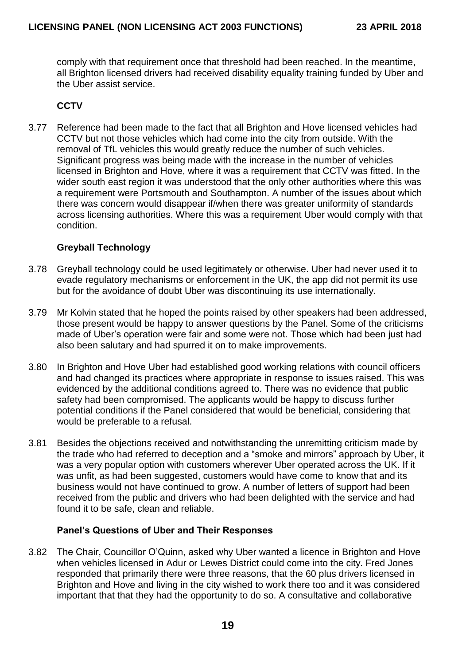comply with that requirement once that threshold had been reached. In the meantime, all Brighton licensed drivers had received disability equality training funded by Uber and the Uber assist service.

## **CCTV**

3.77 Reference had been made to the fact that all Brighton and Hove licensed vehicles had CCTV but not those vehicles which had come into the city from outside. With the removal of TfL vehicles this would greatly reduce the number of such vehicles. Significant progress was being made with the increase in the number of vehicles licensed in Brighton and Hove, where it was a requirement that CCTV was fitted. In the wider south east region it was understood that the only other authorities where this was a requirement were Portsmouth and Southampton. A number of the issues about which there was concern would disappear if/when there was greater uniformity of standards across licensing authorities. Where this was a requirement Uber would comply with that condition.

## **Greyball Technology**

- 3.78 Greyball technology could be used legitimately or otherwise. Uber had never used it to evade regulatory mechanisms or enforcement in the UK, the app did not permit its use but for the avoidance of doubt Uber was discontinuing its use internationally.
- 3.79 Mr Kolvin stated that he hoped the points raised by other speakers had been addressed, those present would be happy to answer questions by the Panel. Some of the criticisms made of Uber's operation were fair and some were not. Those which had been just had also been salutary and had spurred it on to make improvements.
- 3.80 In Brighton and Hove Uber had established good working relations with council officers and had changed its practices where appropriate in response to issues raised. This was evidenced by the additional conditions agreed to. There was no evidence that public safety had been compromised. The applicants would be happy to discuss further potential conditions if the Panel considered that would be beneficial, considering that would be preferable to a refusal.
- 3.81 Besides the objections received and notwithstanding the unremitting criticism made by the trade who had referred to deception and a "smoke and mirrors" approach by Uber, it was a very popular option with customers wherever Uber operated across the UK. If it was unfit, as had been suggested, customers would have come to know that and its business would not have continued to grow. A number of letters of support had been received from the public and drivers who had been delighted with the service and had found it to be safe, clean and reliable.

#### **Panel's Questions of Uber and Their Responses**

3.82 The Chair, Councillor O'Quinn, asked why Uber wanted a licence in Brighton and Hove when vehicles licensed in Adur or Lewes District could come into the city. Fred Jones responded that primarily there were three reasons, that the 60 plus drivers licensed in Brighton and Hove and living in the city wished to work there too and it was considered important that that they had the opportunity to do so. A consultative and collaborative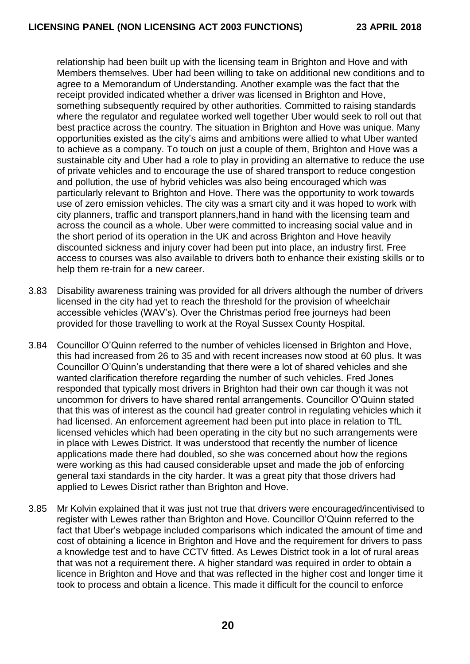relationship had been built up with the licensing team in Brighton and Hove and with Members themselves. Uber had been willing to take on additional new conditions and to agree to a Memorandum of Understanding. Another example was the fact that the receipt provided indicated whether a driver was licensed in Brighton and Hove, something subsequently required by other authorities. Committed to raising standards where the regulator and regulatee worked well together Uber would seek to roll out that best practice across the country. The situation in Brighton and Hove was unique. Many opportunities existed as the city's aims and ambitions were allied to what Uber wanted to achieve as a company. To touch on just a couple of them, Brighton and Hove was a sustainable city and Uber had a role to play in providing an alternative to reduce the use of private vehicles and to encourage the use of shared transport to reduce congestion and pollution, the use of hybrid vehicles was also being encouraged which was particularly relevant to Brighton and Hove. There was the opportunity to work towards use of zero emission vehicles. The city was a smart city and it was hoped to work with city planners, traffic and transport planners,hand in hand with the licensing team and across the council as a whole. Uber were committed to increasing social value and in the short period of its operation in the UK and across Brighton and Hove heavily discounted sickness and injury cover had been put into place, an industry first. Free access to courses was also available to drivers both to enhance their existing skills or to help them re-train for a new career.

- 3.83 Disability awareness training was provided for all drivers although the number of drivers licensed in the city had yet to reach the threshold for the provision of wheelchair accessible vehicles (WAV's). Over the Christmas period free journeys had been provided for those travelling to work at the Royal Sussex County Hospital.
- 3.84 Councillor O'Quinn referred to the number of vehicles licensed in Brighton and Hove, this had increased from 26 to 35 and with recent increases now stood at 60 plus. It was Councillor O'Quinn's understanding that there were a lot of shared vehicles and she wanted clarification therefore regarding the number of such vehicles. Fred Jones responded that typically most drivers in Brighton had their own car though it was not uncommon for drivers to have shared rental arrangements. Councillor O'Quinn stated that this was of interest as the council had greater control in regulating vehicles which it had licensed. An enforcement agreement had been put into place in relation to TfL licensed vehicles which had been operating in the city but no such arrangements were in place with Lewes District. It was understood that recently the number of licence applications made there had doubled, so she was concerned about how the regions were working as this had caused considerable upset and made the job of enforcing general taxi standards in the city harder. It was a great pity that those drivers had applied to Lewes Disrict rather than Brighton and Hove.
- 3.85 Mr Kolvin explained that it was just not true that drivers were encouraged/incentivised to register with Lewes rather than Brighton and Hove. Councillor O'Quinn referred to the fact that Uber's webpage included comparisons which indicated the amount of time and cost of obtaining a licence in Brighton and Hove and the requirement for drivers to pass a knowledge test and to have CCTV fitted. As Lewes District took in a lot of rural areas that was not a requirement there. A higher standard was required in order to obtain a licence in Brighton and Hove and that was reflected in the higher cost and longer time it took to process and obtain a licence. This made it difficult for the council to enforce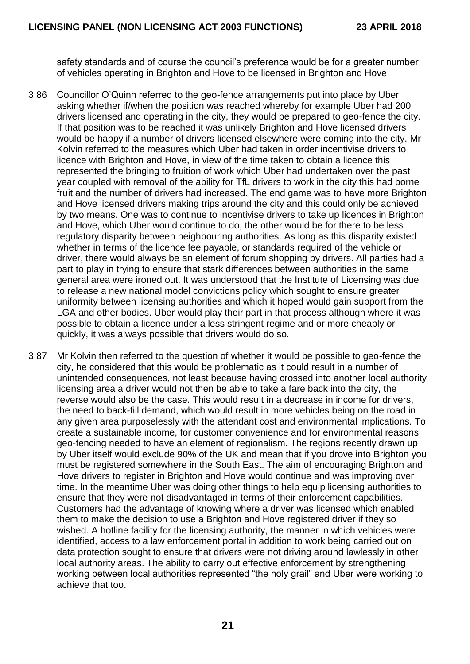safety standards and of course the council's preference would be for a greater number of vehicles operating in Brighton and Hove to be licensed in Brighton and Hove

- 3.86 Councillor O'Quinn referred to the geo-fence arrangements put into place by Uber asking whether if/when the position was reached whereby for example Uber had 200 drivers licensed and operating in the city, they would be prepared to geo-fence the city. If that position was to be reached it was unlikely Brighton and Hove licensed drivers would be happy if a number of drivers licensed elsewhere were coming into the city. Mr Kolvin referred to the measures which Uber had taken in order incentivise drivers to licence with Brighton and Hove, in view of the time taken to obtain a licence this represented the bringing to fruition of work which Uber had undertaken over the past year coupled with removal of the ability for TfL drivers to work in the city this had borne fruit and the number of drivers had increased. The end game was to have more Brighton and Hove licensed drivers making trips around the city and this could only be achieved by two means. One was to continue to incentivise drivers to take up licences in Brighton and Hove, which Uber would continue to do, the other would be for there to be less regulatory disparity between neighbouring authorities. As long as this disparity existed whether in terms of the licence fee payable, or standards required of the vehicle or driver, there would always be an element of forum shopping by drivers. All parties had a part to play in trying to ensure that stark differences between authorities in the same general area were ironed out. It was understood that the Institute of Licensing was due to release a new national model convictions policy which sought to ensure greater uniformity between licensing authorities and which it hoped would gain support from the LGA and other bodies. Uber would play their part in that process although where it was possible to obtain a licence under a less stringent regime and or more cheaply or quickly, it was always possible that drivers would do so.
- 3.87 Mr Kolvin then referred to the question of whether it would be possible to geo-fence the city, he considered that this would be problematic as it could result in a number of unintended consequences, not least because having crossed into another local authority licensing area a driver would not then be able to take a fare back into the city, the reverse would also be the case. This would result in a decrease in income for drivers, the need to back-fill demand, which would result in more vehicles being on the road in any given area purposelessly with the attendant cost and environmental implications. To create a sustainable income, for customer convenience and for environmental reasons geo-fencing needed to have an element of regionalism. The regions recently drawn up by Uber itself would exclude 90% of the UK and mean that if you drove into Brighton you must be registered somewhere in the South East. The aim of encouraging Brighton and Hove drivers to register in Brighton and Hove would continue and was improving over time. In the meantime Uber was doing other things to help equip licensing authorities to ensure that they were not disadvantaged in terms of their enforcement capabilities. Customers had the advantage of knowing where a driver was licensed which enabled them to make the decision to use a Brighton and Hove registered driver if they so wished. A hotline facility for the licensing authority, the manner in which vehicles were identified, access to a law enforcement portal in addition to work being carried out on data protection sought to ensure that drivers were not driving around lawlessly in other local authority areas. The ability to carry out effective enforcement by strengthening working between local authorities represented "the holy grail" and Uber were working to achieve that too.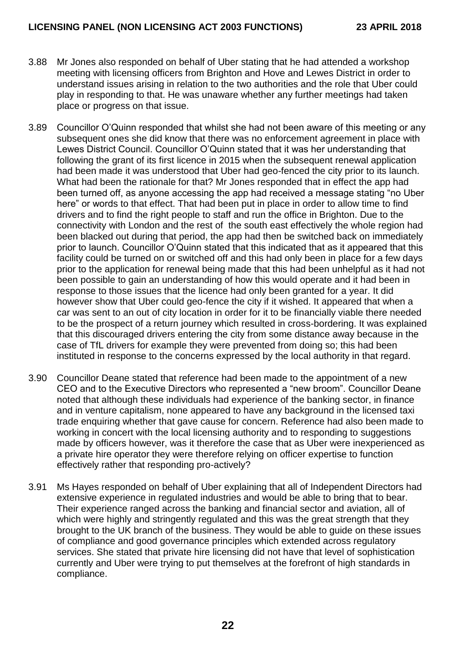- 3.88 Mr Jones also responded on behalf of Uber stating that he had attended a workshop meeting with licensing officers from Brighton and Hove and Lewes District in order to understand issues arising in relation to the two authorities and the role that Uber could play in responding to that. He was unaware whether any further meetings had taken place or progress on that issue.
- 3.89 Councillor O'Quinn responded that whilst she had not been aware of this meeting or any subsequent ones she did know that there was no enforcement agreement in place with Lewes District Council. Councillor O'Quinn stated that it was her understanding that following the grant of its first licence in 2015 when the subsequent renewal application had been made it was understood that Uber had geo-fenced the city prior to its launch. What had been the rationale for that? Mr Jones responded that in effect the app had been turned off, as anyone accessing the app had received a message stating "no Uber here" or words to that effect. That had been put in place in order to allow time to find drivers and to find the right people to staff and run the office in Brighton. Due to the connectivity with London and the rest of the south east effectively the whole region had been blacked out during that period, the app had then be switched back on immediately prior to launch. Councillor O'Quinn stated that this indicated that as it appeared that this facility could be turned on or switched off and this had only been in place for a few days prior to the application for renewal being made that this had been unhelpful as it had not been possible to gain an understanding of how this would operate and it had been in response to those issues that the licence had only been granted for a year. It did however show that Uber could geo-fence the city if it wished. It appeared that when a car was sent to an out of city location in order for it to be financially viable there needed to be the prospect of a return journey which resulted in cross-bordering. It was explained that this discouraged drivers entering the city from some distance away because in the case of TfL drivers for example they were prevented from doing so; this had been instituted in response to the concerns expressed by the local authority in that regard.
- 3.90 Councillor Deane stated that reference had been made to the appointment of a new CEO and to the Executive Directors who represented a "new broom". Councillor Deane noted that although these individuals had experience of the banking sector, in finance and in venture capitalism, none appeared to have any background in the licensed taxi trade enquiring whether that gave cause for concern. Reference had also been made to working in concert with the local licensing authority and to responding to suggestions made by officers however, was it therefore the case that as Uber were inexperienced as a private hire operator they were therefore relying on officer expertise to function effectively rather that responding pro-actively?
- 3.91 Ms Hayes responded on behalf of Uber explaining that all of Independent Directors had extensive experience in regulated industries and would be able to bring that to bear. Their experience ranged across the banking and financial sector and aviation, all of which were highly and stringently regulated and this was the great strength that they brought to the UK branch of the business. They would be able to guide on these issues of compliance and good governance principles which extended across regulatory services. She stated that private hire licensing did not have that level of sophistication currently and Uber were trying to put themselves at the forefront of high standards in compliance.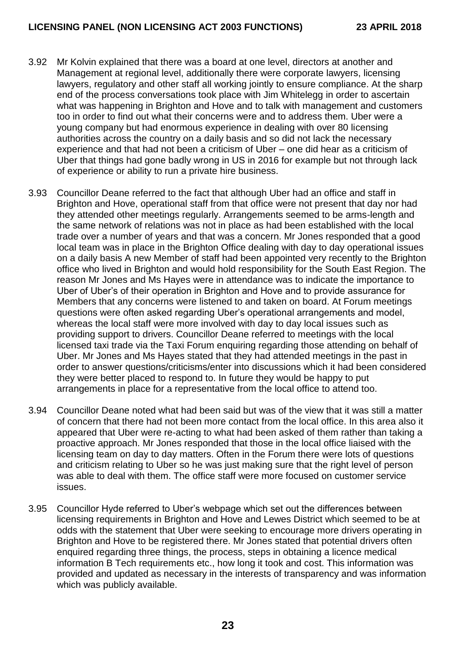- 3.92 Mr Kolvin explained that there was a board at one level, directors at another and Management at regional level, additionally there were corporate lawyers, licensing lawyers, regulatory and other staff all working jointly to ensure compliance. At the sharp end of the process conversations took place with Jim Whitelegg in order to ascertain what was happening in Brighton and Hove and to talk with management and customers too in order to find out what their concerns were and to address them. Uber were a young company but had enormous experience in dealing with over 80 licensing authorities across the country on a daily basis and so did not lack the necessary experience and that had not been a criticism of Uber – one did hear as a criticism of Uber that things had gone badly wrong in US in 2016 for example but not through lack of experience or ability to run a private hire business.
- 3.93 Councillor Deane referred to the fact that although Uber had an office and staff in Brighton and Hove, operational staff from that office were not present that day nor had they attended other meetings regularly. Arrangements seemed to be arms-length and the same network of relations was not in place as had been established with the local trade over a number of years and that was a concern. Mr Jones responded that a good local team was in place in the Brighton Office dealing with day to day operational issues on a daily basis A new Member of staff had been appointed very recently to the Brighton office who lived in Brighton and would hold responsibility for the South East Region. The reason Mr Jones and Ms Hayes were in attendance was to indicate the importance to Uber of Uber's of their operation in Brighton and Hove and to provide assurance for Members that any concerns were listened to and taken on board. At Forum meetings questions were often asked regarding Uber's operational arrangements and model, whereas the local staff were more involved with day to day local issues such as providing support to drivers. Councillor Deane referred to meetings with the local licensed taxi trade via the Taxi Forum enquiring regarding those attending on behalf of Uber. Mr Jones and Ms Hayes stated that they had attended meetings in the past in order to answer questions/criticisms/enter into discussions which it had been considered they were better placed to respond to. In future they would be happy to put arrangements in place for a representative from the local office to attend too.
- 3.94 Councillor Deane noted what had been said but was of the view that it was still a matter of concern that there had not been more contact from the local office. In this area also it appeared that Uber were re-acting to what had been asked of them rather than taking a proactive approach. Mr Jones responded that those in the local office liaised with the licensing team on day to day matters. Often in the Forum there were lots of questions and criticism relating to Uber so he was just making sure that the right level of person was able to deal with them. The office staff were more focused on customer service issues.
- 3.95 Councillor Hyde referred to Uber's webpage which set out the differences between licensing requirements in Brighton and Hove and Lewes District which seemed to be at odds with the statement that Uber were seeking to encourage more drivers operating in Brighton and Hove to be registered there. Mr Jones stated that potential drivers often enquired regarding three things, the process, steps in obtaining a licence medical information B Tech requirements etc., how long it took and cost. This information was provided and updated as necessary in the interests of transparency and was information which was publicly available.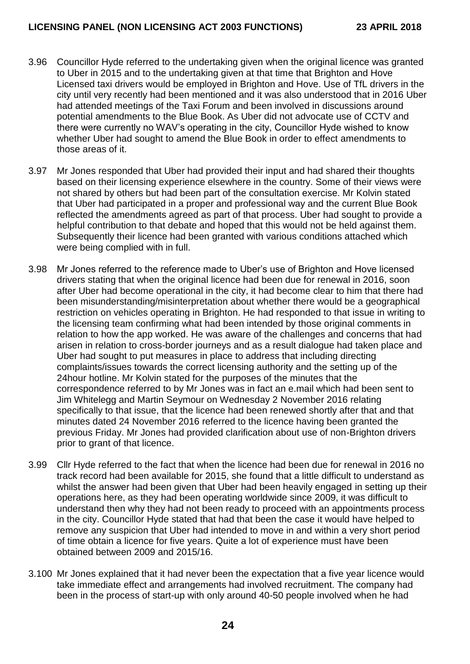- 3.96 Councillor Hyde referred to the undertaking given when the original licence was granted to Uber in 2015 and to the undertaking given at that time that Brighton and Hove Licensed taxi drivers would be employed in Brighton and Hove. Use of TfL drivers in the city until very recently had been mentioned and it was also understood that in 2016 Uber had attended meetings of the Taxi Forum and been involved in discussions around potential amendments to the Blue Book. As Uber did not advocate use of CCTV and there were currently no WAV's operating in the city, Councillor Hyde wished to know whether Uber had sought to amend the Blue Book in order to effect amendments to those areas of it.
- 3.97 Mr Jones responded that Uber had provided their input and had shared their thoughts based on their licensing experience elsewhere in the country. Some of their views were not shared by others but had been part of the consultation exercise. Mr Kolvin stated that Uber had participated in a proper and professional way and the current Blue Book reflected the amendments agreed as part of that process. Uber had sought to provide a helpful contribution to that debate and hoped that this would not be held against them. Subsequently their licence had been granted with various conditions attached which were being complied with in full.
- 3.98 Mr Jones referred to the reference made to Uber's use of Brighton and Hove licensed drivers stating that when the original licence had been due for renewal in 2016, soon after Uber had become operational in the city, it had become clear to him that there had been misunderstanding/misinterpretation about whether there would be a geographical restriction on vehicles operating in Brighton. He had responded to that issue in writing to the licensing team confirming what had been intended by those original comments in relation to how the app worked. He was aware of the challenges and concerns that had arisen in relation to cross-border journeys and as a result dialogue had taken place and Uber had sought to put measures in place to address that including directing complaints/issues towards the correct licensing authority and the setting up of the 24hour hotline. Mr Kolvin stated for the purposes of the minutes that the correspondence referred to by Mr Jones was in fact an e.mail which had been sent to Jim Whitelegg and Martin Seymour on Wednesday 2 November 2016 relating specifically to that issue, that the licence had been renewed shortly after that and that minutes dated 24 November 2016 referred to the licence having been granted the previous Friday. Mr Jones had provided clarification about use of non-Brighton drivers prior to grant of that licence.
- 3.99 Cllr Hyde referred to the fact that when the licence had been due for renewal in 2016 no track record had been available for 2015, she found that a little difficult to understand as whilst the answer had been given that Uber had been heavily engaged in setting up their operations here, as they had been operating worldwide since 2009, it was difficult to understand then why they had not been ready to proceed with an appointments process in the city. Councillor Hyde stated that had that been the case it would have helped to remove any suspicion that Uber had intended to move in and within a very short period of time obtain a licence for five years. Quite a lot of experience must have been obtained between 2009 and 2015/16.
- 3.100 Mr Jones explained that it had never been the expectation that a five year licence would take immediate effect and arrangements had involved recruitment. The company had been in the process of start-up with only around 40-50 people involved when he had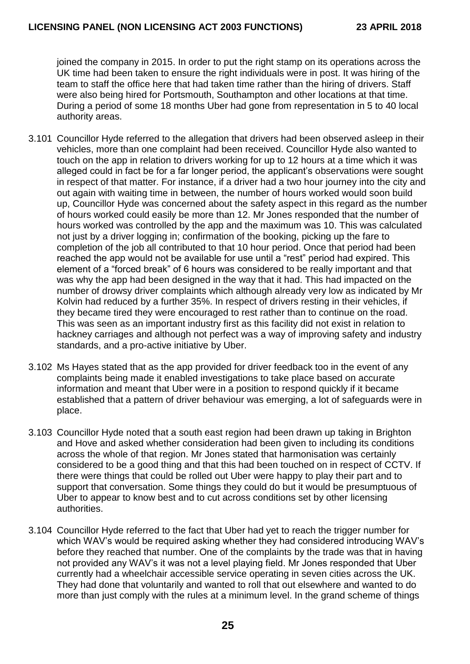joined the company in 2015. In order to put the right stamp on its operations across the UK time had been taken to ensure the right individuals were in post. It was hiring of the team to staff the office here that had taken time rather than the hiring of drivers. Staff were also being hired for Portsmouth, Southampton and other locations at that time. During a period of some 18 months Uber had gone from representation in 5 to 40 local authority areas.

- 3.101 Councillor Hyde referred to the allegation that drivers had been observed asleep in their vehicles, more than one complaint had been received. Councillor Hyde also wanted to touch on the app in relation to drivers working for up to 12 hours at a time which it was alleged could in fact be for a far longer period, the applicant's observations were sought in respect of that matter. For instance, if a driver had a two hour journey into the city and out again with waiting time in between, the number of hours worked would soon build up, Councillor Hyde was concerned about the safety aspect in this regard as the number of hours worked could easily be more than 12. Mr Jones responded that the number of hours worked was controlled by the app and the maximum was 10. This was calculated not just by a driver logging in; confirmation of the booking, picking up the fare to completion of the job all contributed to that 10 hour period. Once that period had been reached the app would not be available for use until a "rest" period had expired. This element of a "forced break" of 6 hours was considered to be really important and that was why the app had been designed in the way that it had. This had impacted on the number of drowsy driver complaints which although already very low as indicated by Mr Kolvin had reduced by a further 35%. In respect of drivers resting in their vehicles, if they became tired they were encouraged to rest rather than to continue on the road. This was seen as an important industry first as this facility did not exist in relation to hackney carriages and although not perfect was a way of improving safety and industry standards, and a pro-active initiative by Uber.
- 3.102 Ms Hayes stated that as the app provided for driver feedback too in the event of any complaints being made it enabled investigations to take place based on accurate information and meant that Uber were in a position to respond quickly if it became established that a pattern of driver behaviour was emerging, a lot of safeguards were in place.
- 3.103 Councillor Hyde noted that a south east region had been drawn up taking in Brighton and Hove and asked whether consideration had been given to including its conditions across the whole of that region. Mr Jones stated that harmonisation was certainly considered to be a good thing and that this had been touched on in respect of CCTV. If there were things that could be rolled out Uber were happy to play their part and to support that conversation. Some things they could do but it would be presumptuous of Uber to appear to know best and to cut across conditions set by other licensing authorities.
- 3.104 Councillor Hyde referred to the fact that Uber had yet to reach the trigger number for which WAV's would be required asking whether they had considered introducing WAV's before they reached that number. One of the complaints by the trade was that in having not provided any WAV's it was not a level playing field. Mr Jones responded that Uber currently had a wheelchair accessible service operating in seven cities across the UK. They had done that voluntarily and wanted to roll that out elsewhere and wanted to do more than just comply with the rules at a minimum level. In the grand scheme of things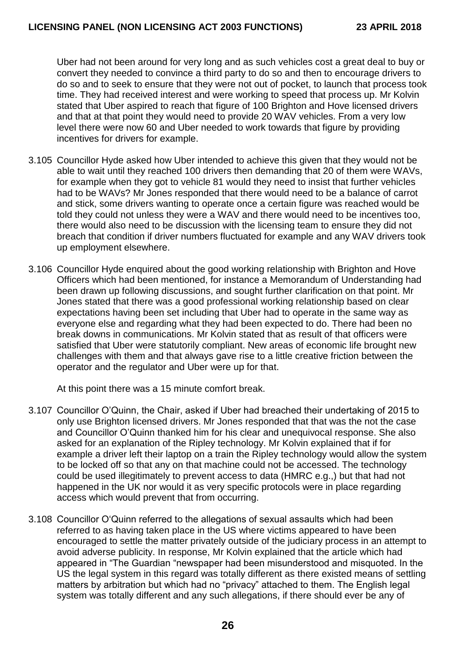Uber had not been around for very long and as such vehicles cost a great deal to buy or convert they needed to convince a third party to do so and then to encourage drivers to do so and to seek to ensure that they were not out of pocket, to launch that process took time. They had received interest and were working to speed that process up. Mr Kolvin stated that Uber aspired to reach that figure of 100 Brighton and Hove licensed drivers and that at that point they would need to provide 20 WAV vehicles. From a very low level there were now 60 and Uber needed to work towards that figure by providing incentives for drivers for example.

- 3.105 Councillor Hyde asked how Uber intended to achieve this given that they would not be able to wait until they reached 100 drivers then demanding that 20 of them were WAVs, for example when they got to vehicle 81 would they need to insist that further vehicles had to be WAVs? Mr Jones responded that there would need to be a balance of carrot and stick, some drivers wanting to operate once a certain figure was reached would be told they could not unless they were a WAV and there would need to be incentives too, there would also need to be discussion with the licensing team to ensure they did not breach that condition if driver numbers fluctuated for example and any WAV drivers took up employment elsewhere.
- 3.106 Councillor Hyde enquired about the good working relationship with Brighton and Hove Officers which had been mentioned, for instance a Memorandum of Understanding had been drawn up following discussions, and sought further clarification on that point. Mr Jones stated that there was a good professional working relationship based on clear expectations having been set including that Uber had to operate in the same way as everyone else and regarding what they had been expected to do. There had been no break downs in communications. Mr Kolvin stated that as result of that officers were satisfied that Uber were statutorily compliant. New areas of economic life brought new challenges with them and that always gave rise to a little creative friction between the operator and the regulator and Uber were up for that.

At this point there was a 15 minute comfort break.

- 3.107 Councillor O'Quinn, the Chair, asked if Uber had breached their undertaking of 2015 to only use Brighton licensed drivers. Mr Jones responded that that was the not the case and Councillor O'Quinn thanked him for his clear and unequivocal response. She also asked for an explanation of the Ripley technology. Mr Kolvin explained that if for example a driver left their laptop on a train the Ripley technology would allow the system to be locked off so that any on that machine could not be accessed. The technology could be used illegitimately to prevent access to data (HMRC e.g.,) but that had not happened in the UK nor would it as very specific protocols were in place regarding access which would prevent that from occurring.
- 3.108 Councillor O'Quinn referred to the allegations of sexual assaults which had been referred to as having taken place in the US where victims appeared to have been encouraged to settle the matter privately outside of the judiciary process in an attempt to avoid adverse publicity. In response, Mr Kolvin explained that the article which had appeared in "The Guardian "newspaper had been misunderstood and misquoted. In the US the legal system in this regard was totally different as there existed means of settling matters by arbitration but which had no "privacy" attached to them. The English legal system was totally different and any such allegations, if there should ever be any of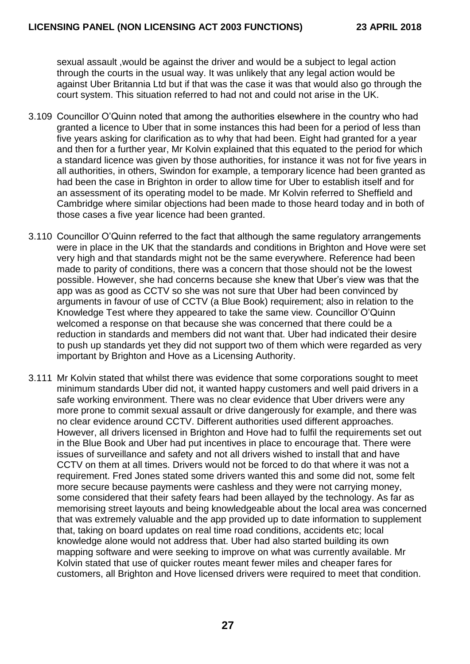sexual assault ,would be against the driver and would be a subject to legal action through the courts in the usual way. It was unlikely that any legal action would be against Uber Britannia Ltd but if that was the case it was that would also go through the court system. This situation referred to had not and could not arise in the UK.

- 3.109 Councillor O'Quinn noted that among the authorities elsewhere in the country who had granted a licence to Uber that in some instances this had been for a period of less than five years asking for clarification as to why that had been. Eight had granted for a year and then for a further year, Mr Kolvin explained that this equated to the period for which a standard licence was given by those authorities, for instance it was not for five years in all authorities, in others, Swindon for example, a temporary licence had been granted as had been the case in Brighton in order to allow time for Uber to establish itself and for an assessment of its operating model to be made. Mr Kolvin referred to Sheffield and Cambridge where similar objections had been made to those heard today and in both of those cases a five year licence had been granted.
- 3.110 Councillor O'Quinn referred to the fact that although the same regulatory arrangements were in place in the UK that the standards and conditions in Brighton and Hove were set very high and that standards might not be the same everywhere. Reference had been made to parity of conditions, there was a concern that those should not be the lowest possible. However, she had concerns because she knew that Uber's view was that the app was as good as CCTV so she was not sure that Uber had been convinced by arguments in favour of use of CCTV (a Blue Book) requirement; also in relation to the Knowledge Test where they appeared to take the same view. Councillor O'Quinn welcomed a response on that because she was concerned that there could be a reduction in standards and members did not want that. Uber had indicated their desire to push up standards yet they did not support two of them which were regarded as very important by Brighton and Hove as a Licensing Authority.
- 3.111 Mr Kolvin stated that whilst there was evidence that some corporations sought to meet minimum standards Uber did not, it wanted happy customers and well paid drivers in a safe working environment. There was no clear evidence that Uber drivers were any more prone to commit sexual assault or drive dangerously for example, and there was no clear evidence around CCTV. Different authorities used different approaches. However, all drivers licensed in Brighton and Hove had to fulfil the requirements set out in the Blue Book and Uber had put incentives in place to encourage that. There were issues of surveillance and safety and not all drivers wished to install that and have CCTV on them at all times. Drivers would not be forced to do that where it was not a requirement. Fred Jones stated some drivers wanted this and some did not, some felt more secure because payments were cashless and they were not carrying money, some considered that their safety fears had been allayed by the technology. As far as memorising street layouts and being knowledgeable about the local area was concerned that was extremely valuable and the app provided up to date information to supplement that, taking on board updates on real time road conditions, accidents etc; local knowledge alone would not address that. Uber had also started building its own mapping software and were seeking to improve on what was currently available. Mr Kolvin stated that use of quicker routes meant fewer miles and cheaper fares for customers, all Brighton and Hove licensed drivers were required to meet that condition.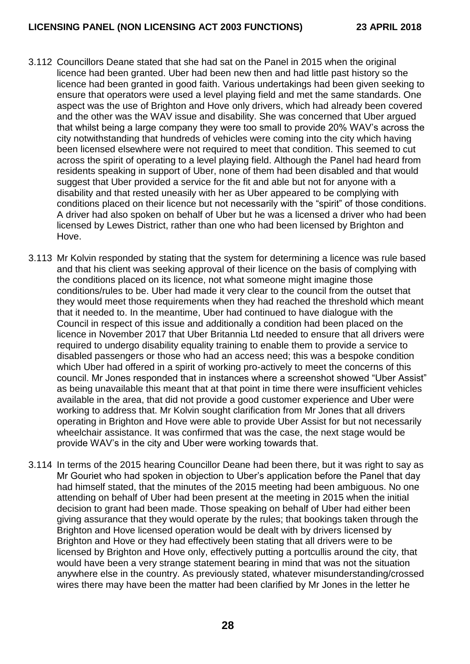- 3.112 Councillors Deane stated that she had sat on the Panel in 2015 when the original licence had been granted. Uber had been new then and had little past history so the licence had been granted in good faith. Various undertakings had been given seeking to ensure that operators were used a level playing field and met the same standards. One aspect was the use of Brighton and Hove only drivers, which had already been covered and the other was the WAV issue and disability. She was concerned that Uber argued that whilst being a large company they were too small to provide 20% WAV's across the city notwithstanding that hundreds of vehicles were coming into the city which having been licensed elsewhere were not required to meet that condition. This seemed to cut across the spirit of operating to a level playing field. Although the Panel had heard from residents speaking in support of Uber, none of them had been disabled and that would suggest that Uber provided a service for the fit and able but not for anyone with a disability and that rested uneasily with her as Uber appeared to be complying with conditions placed on their licence but not necessarily with the "spirit" of those conditions. A driver had also spoken on behalf of Uber but he was a licensed a driver who had been licensed by Lewes District, rather than one who had been licensed by Brighton and Hove.
- 3.113 Mr Kolvin responded by stating that the system for determining a licence was rule based and that his client was seeking approval of their licence on the basis of complying with the conditions placed on its licence, not what someone might imagine those conditions/rules to be. Uber had made it very clear to the council from the outset that they would meet those requirements when they had reached the threshold which meant that it needed to. In the meantime, Uber had continued to have dialogue with the Council in respect of this issue and additionally a condition had been placed on the licence in November 2017 that Uber Britannia Ltd needed to ensure that all drivers were required to undergo disability equality training to enable them to provide a service to disabled passengers or those who had an access need; this was a bespoke condition which Uber had offered in a spirit of working pro-actively to meet the concerns of this council. Mr Jones responded that in instances where a screenshot showed "Uber Assist" as being unavailable this meant that at that point in time there were insufficient vehicles available in the area, that did not provide a good customer experience and Uber were working to address that. Mr Kolvin sought clarification from Mr Jones that all drivers operating in Brighton and Hove were able to provide Uber Assist for but not necessarily wheelchair assistance. It was confirmed that was the case, the next stage would be provide WAV's in the city and Uber were working towards that.
- 3.114 In terms of the 2015 hearing Councillor Deane had been there, but it was right to say as Mr Gouriet who had spoken in objection to Uber's application before the Panel that day had himself stated, that the minutes of the 2015 meeting had been ambiguous. No one attending on behalf of Uber had been present at the meeting in 2015 when the initial decision to grant had been made. Those speaking on behalf of Uber had either been giving assurance that they would operate by the rules; that bookings taken through the Brighton and Hove licensed operation would be dealt with by drivers licensed by Brighton and Hove or they had effectively been stating that all drivers were to be licensed by Brighton and Hove only, effectively putting a portcullis around the city, that would have been a very strange statement bearing in mind that was not the situation anywhere else in the country. As previously stated, whatever misunderstanding/crossed wires there may have been the matter had been clarified by Mr Jones in the letter he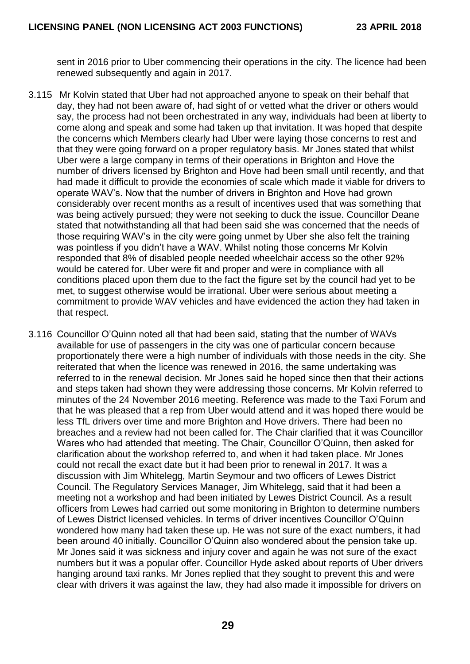sent in 2016 prior to Uber commencing their operations in the city. The licence had been renewed subsequently and again in 2017.

- 3.115 Mr Kolvin stated that Uber had not approached anyone to speak on their behalf that day, they had not been aware of, had sight of or vetted what the driver or others would say, the process had not been orchestrated in any way, individuals had been at liberty to come along and speak and some had taken up that invitation. It was hoped that despite the concerns which Members clearly had Uber were laying those concerns to rest and that they were going forward on a proper regulatory basis. Mr Jones stated that whilst Uber were a large company in terms of their operations in Brighton and Hove the number of drivers licensed by Brighton and Hove had been small until recently, and that had made it difficult to provide the economies of scale which made it viable for drivers to operate WAV's. Now that the number of drivers in Brighton and Hove had grown considerably over recent months as a result of incentives used that was something that was being actively pursued; they were not seeking to duck the issue. Councillor Deane stated that notwithstanding all that had been said she was concerned that the needs of those requiring WAV's in the city were going unmet by Uber she also felt the training was pointless if you didn't have a WAV. Whilst noting those concerns Mr Kolvin responded that 8% of disabled people needed wheelchair access so the other 92% would be catered for. Uber were fit and proper and were in compliance with all conditions placed upon them due to the fact the figure set by the council had yet to be met, to suggest otherwise would be irrational. Uber were serious about meeting a commitment to provide WAV vehicles and have evidenced the action they had taken in that respect.
- 3.116 Councillor O'Quinn noted all that had been said, stating that the number of WAVs available for use of passengers in the city was one of particular concern because proportionately there were a high number of individuals with those needs in the city. She reiterated that when the licence was renewed in 2016, the same undertaking was referred to in the renewal decision. Mr Jones said he hoped since then that their actions and steps taken had shown they were addressing those concerns. Mr Kolvin referred to minutes of the 24 November 2016 meeting. Reference was made to the Taxi Forum and that he was pleased that a rep from Uber would attend and it was hoped there would be less TfL drivers over time and more Brighton and Hove drivers. There had been no breaches and a review had not been called for. The Chair clarified that it was Councillor Wares who had attended that meeting. The Chair, Councillor O'Quinn, then asked for clarification about the workshop referred to, and when it had taken place. Mr Jones could not recall the exact date but it had been prior to renewal in 2017. It was a discussion with Jim Whitelegg, Martin Seymour and two officers of Lewes District Council. The Regulatory Services Manager, Jim Whitelegg, said that it had been a meeting not a workshop and had been initiated by Lewes District Council. As a result officers from Lewes had carried out some monitoring in Brighton to determine numbers of Lewes District licensed vehicles. In terms of driver incentives Councillor O'Quinn wondered how many had taken these up. He was not sure of the exact numbers, it had been around 40 initially. Councillor O'Quinn also wondered about the pension take up. Mr Jones said it was sickness and injury cover and again he was not sure of the exact numbers but it was a popular offer. Councillor Hyde asked about reports of Uber drivers hanging around taxi ranks. Mr Jones replied that they sought to prevent this and were clear with drivers it was against the law, they had also made it impossible for drivers on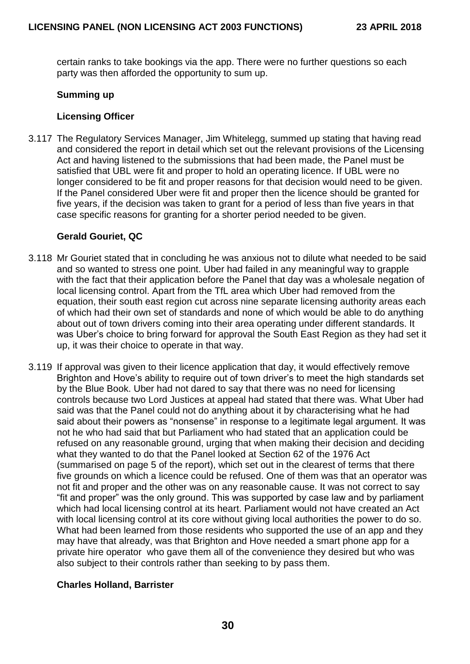certain ranks to take bookings via the app. There were no further questions so each party was then afforded the opportunity to sum up.

### **Summing up**

### **Licensing Officer**

3.117 The Regulatory Services Manager, Jim Whitelegg, summed up stating that having read and considered the report in detail which set out the relevant provisions of the Licensing Act and having listened to the submissions that had been made, the Panel must be satisfied that UBL were fit and proper to hold an operating licence. If UBL were no longer considered to be fit and proper reasons for that decision would need to be given. If the Panel considered Uber were fit and proper then the licence should be granted for five years, if the decision was taken to grant for a period of less than five years in that case specific reasons for granting for a shorter period needed to be given.

### **Gerald Gouriet, QC**

- 3.118 Mr Gouriet stated that in concluding he was anxious not to dilute what needed to be said and so wanted to stress one point. Uber had failed in any meaningful way to grapple with the fact that their application before the Panel that day was a wholesale negation of local licensing control. Apart from the TfL area which Uber had removed from the equation, their south east region cut across nine separate licensing authority areas each of which had their own set of standards and none of which would be able to do anything about out of town drivers coming into their area operating under different standards. It was Uber's choice to bring forward for approval the South East Region as they had set it up, it was their choice to operate in that way.
- 3.119 If approval was given to their licence application that day, it would effectively remove Brighton and Hove's ability to require out of town driver's to meet the high standards set by the Blue Book. Uber had not dared to say that there was no need for licensing controls because two Lord Justices at appeal had stated that there was. What Uber had said was that the Panel could not do anything about it by characterising what he had said about their powers as "nonsense" in response to a legitimate legal argument. It was not he who had said that but Parliament who had stated that an application could be refused on any reasonable ground, urging that when making their decision and deciding what they wanted to do that the Panel looked at Section 62 of the 1976 Act (summarised on page 5 of the report), which set out in the clearest of terms that there five grounds on which a licence could be refused. One of them was that an operator was not fit and proper and the other was on any reasonable cause. It was not correct to say "fit and proper" was the only ground. This was supported by case law and by parliament which had local licensing control at its heart. Parliament would not have created an Act with local licensing control at its core without giving local authorities the power to do so. What had been learned from those residents who supported the use of an app and they may have that already, was that Brighton and Hove needed a smart phone app for a private hire operator who gave them all of the convenience they desired but who was also subject to their controls rather than seeking to by pass them.

## **Charles Holland, Barrister**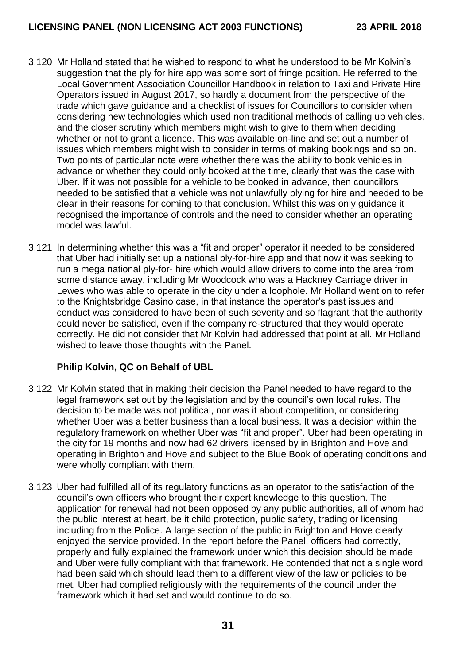- 3.120 Mr Holland stated that he wished to respond to what he understood to be Mr Kolvin's suggestion that the ply for hire app was some sort of fringe position. He referred to the Local Government Association Councillor Handbook in relation to Taxi and Private Hire Operators issued in August 2017, so hardly a document from the perspective of the trade which gave guidance and a checklist of issues for Councillors to consider when considering new technologies which used non traditional methods of calling up vehicles, and the closer scrutiny which members might wish to give to them when deciding whether or not to grant a licence. This was available on-line and set out a number of issues which members might wish to consider in terms of making bookings and so on. Two points of particular note were whether there was the ability to book vehicles in advance or whether they could only booked at the time, clearly that was the case with Uber. If it was not possible for a vehicle to be booked in advance, then councillors needed to be satisfied that a vehicle was not unlawfully plying for hire and needed to be clear in their reasons for coming to that conclusion. Whilst this was only guidance it recognised the importance of controls and the need to consider whether an operating model was lawful.
- 3.121 In determining whether this was a "fit and proper" operator it needed to be considered that Uber had initially set up a national ply-for-hire app and that now it was seeking to run a mega national ply-for- hire which would allow drivers to come into the area from some distance away, including Mr Woodcock who was a Hackney Carriage driver in Lewes who was able to operate in the city under a loophole. Mr Holland went on to refer to the Knightsbridge Casino case, in that instance the operator's past issues and conduct was considered to have been of such severity and so flagrant that the authority could never be satisfied, even if the company re-structured that they would operate correctly. He did not consider that Mr Kolvin had addressed that point at all. Mr Holland wished to leave those thoughts with the Panel.

# **Philip Kolvin, QC on Behalf of UBL**

- 3.122 Mr Kolvin stated that in making their decision the Panel needed to have regard to the legal framework set out by the legislation and by the council's own local rules. The decision to be made was not political, nor was it about competition, or considering whether Uber was a better business than a local business. It was a decision within the regulatory framework on whether Uber was "fit and proper". Uber had been operating in the city for 19 months and now had 62 drivers licensed by in Brighton and Hove and operating in Brighton and Hove and subject to the Blue Book of operating conditions and were wholly compliant with them.
- 3.123 Uber had fulfilled all of its regulatory functions as an operator to the satisfaction of the council's own officers who brought their expert knowledge to this question. The application for renewal had not been opposed by any public authorities, all of whom had the public interest at heart, be it child protection, public safety, trading or licensing including from the Police. A large section of the public in Brighton and Hove clearly enjoyed the service provided. In the report before the Panel, officers had correctly, properly and fully explained the framework under which this decision should be made and Uber were fully compliant with that framework. He contended that not a single word had been said which should lead them to a different view of the law or policies to be met. Uber had complied religiously with the requirements of the council under the framework which it had set and would continue to do so.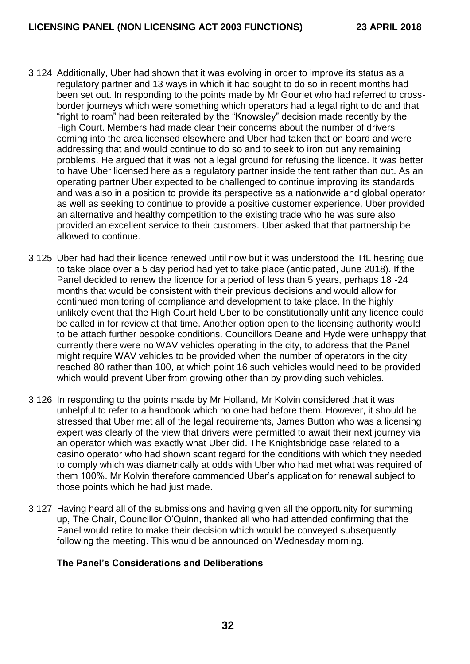- 3.124 Additionally, Uber had shown that it was evolving in order to improve its status as a regulatory partner and 13 ways in which it had sought to do so in recent months had been set out. In responding to the points made by Mr Gouriet who had referred to crossborder journeys which were something which operators had a legal right to do and that "right to roam" had been reiterated by the "Knowsley" decision made recently by the High Court. Members had made clear their concerns about the number of drivers coming into the area licensed elsewhere and Uber had taken that on board and were addressing that and would continue to do so and to seek to iron out any remaining problems. He argued that it was not a legal ground for refusing the licence. It was better to have Uber licensed here as a regulatory partner inside the tent rather than out. As an operating partner Uber expected to be challenged to continue improving its standards and was also in a position to provide its perspective as a nationwide and global operator as well as seeking to continue to provide a positive customer experience. Uber provided an alternative and healthy competition to the existing trade who he was sure also provided an excellent service to their customers. Uber asked that that partnership be allowed to continue.
- 3.125 Uber had had their licence renewed until now but it was understood the TfL hearing due to take place over a 5 day period had yet to take place (anticipated, June 2018). If the Panel decided to renew the licence for a period of less than 5 years, perhaps 18 -24 months that would be consistent with their previous decisions and would allow for continued monitoring of compliance and development to take place. In the highly unlikely event that the High Court held Uber to be constitutionally unfit any licence could be called in for review at that time. Another option open to the licensing authority would to be attach further bespoke conditions. Councillors Deane and Hyde were unhappy that currently there were no WAV vehicles operating in the city, to address that the Panel might require WAV vehicles to be provided when the number of operators in the city reached 80 rather than 100, at which point 16 such vehicles would need to be provided which would prevent Uber from growing other than by providing such vehicles.
- 3.126 In responding to the points made by Mr Holland, Mr Kolvin considered that it was unhelpful to refer to a handbook which no one had before them. However, it should be stressed that Uber met all of the legal requirements, James Button who was a licensing expert was clearly of the view that drivers were permitted to await their next journey via an operator which was exactly what Uber did. The Knightsbridge case related to a casino operator who had shown scant regard for the conditions with which they needed to comply which was diametrically at odds with Uber who had met what was required of them 100%. Mr Kolvin therefore commended Uber's application for renewal subject to those points which he had just made.
- 3.127 Having heard all of the submissions and having given all the opportunity for summing up, The Chair, Councillor O'Quinn, thanked all who had attended confirming that the Panel would retire to make their decision which would be conveyed subsequently following the meeting. This would be announced on Wednesday morning.

## **The Panel's Considerations and Deliberations**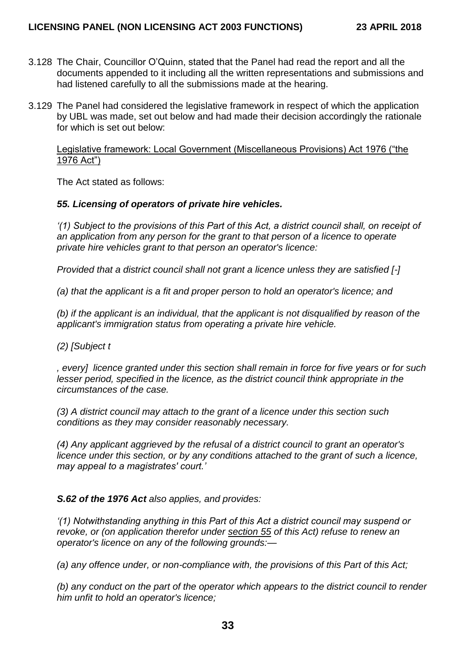- 3.128 The Chair, Councillor O'Quinn, stated that the Panel had read the report and all the documents appended to it including all the written representations and submissions and had listened carefully to all the submissions made at the hearing.
- 3.129 The Panel had considered the legislative framework in respect of which the application by UBL was made, set out below and had made their decision accordingly the rationale for which is set out below:

Legislative framework: Local Government (Miscellaneous Provisions) Act 1976 ("the 1976 Act")

The Act stated as follows:

### *55. Licensing of operators of private hire vehicles.*

*'(1) Subject to the provisions of this Part of this Act, a district council shall, on receipt of an application from any person for the grant to that person of a licence to operate private hire vehicles grant to that person an operator's licence:*

*Provided that a district council shall not grant a licence unless they are satisfied [-]* 

*(a) that the applicant is a fit and proper person to hold an operator's licence; and*

*(b) if the applicant is an individual, that the applicant is not disqualified by reason of the applicant's immigration status from operating a private hire vehicle.* 

*(2) [Subject t*

*, every] licence granted under this section shall remain in force for five years or for such lesser period, specified in the licence, as the district council think appropriate in the circumstances of the case.*

*(3) A district council may attach to the grant of a licence under this section such conditions as they may consider reasonably necessary.*

*(4) Any applicant aggrieved by the refusal of a district council to grant an operator's licence under this section, or by any conditions attached to the grant of such a licence, may appeal to a magistrates' court.'*

*S.62 of the 1976 Act also applies, and provides:* 

*'(1) Notwithstanding anything in this Part of this Act a district council may suspend or revoke, or (on application therefor under [section 55](https://login.westlaw.co.uk/maf/wluk/app/document?src=doc&linktype=ref&context=29&crumb-action=replace&docguid=I856ADE90E44911DA8D70A0E70A78ED65) of this Act) refuse to renew an operator's licence on any of the following grounds:—*

*(a) any offence under, or non-compliance with, the provisions of this Part of this Act;*

*(b) any conduct on the part of the operator which appears to the district council to render him unfit to hold an operator's licence;*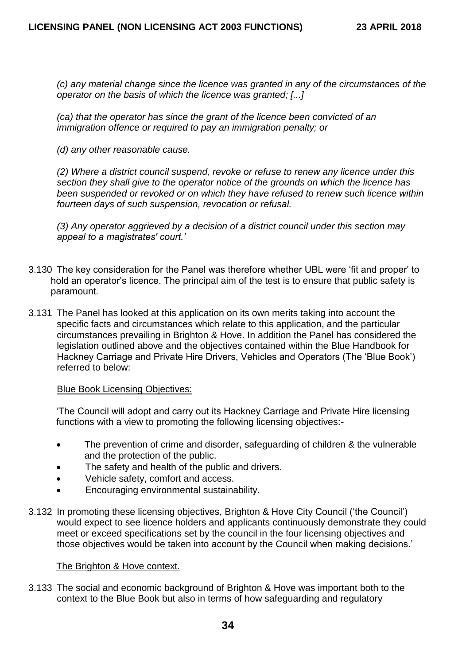*(c) any material change since the licence was granted in any of the circumstances of the operator on the basis of which the licence was granted; [...]* 

*(ca) that the operator has since the grant of the licence been convicted of an immigration offence or required to pay an immigration penalty; or*

*(d) any other reasonable cause.*

*(2) Where a district council suspend, revoke or refuse to renew any licence under this section they shall give to the operator notice of the grounds on which the licence has been suspended or revoked or on which they have refused to renew such licence within fourteen days of such suspension, revocation or refusal.*

*(3) Any operator aggrieved by a decision of a district council under this section may appeal to a magistrates' court.'*

- 3.130 The key consideration for the Panel was therefore whether UBL were 'fit and proper' to hold an operator's licence. The principal aim of the test is to ensure that public safety is paramount*.*
- 3.131 The Panel has looked at this application on its own merits taking into account the specific facts and circumstances which relate to this application, and the particular circumstances prevailing in Brighton & Hove. In addition the Panel has considered the legislation outlined above and the objectives contained within the Blue Handbook for Hackney Carriage and Private Hire Drivers, Vehicles and Operators (The 'Blue Book') referred to below:

#### Blue Book Licensing Objectives:

'The Council will adopt and carry out its Hackney Carriage and Private Hire licensing functions with a view to promoting the following licensing objectives:-

- The prevention of crime and disorder, safeguarding of children & the vulnerable and the protection of the public.
- The safety and health of the public and drivers.
- Vehicle safety, comfort and access.
- Encouraging environmental sustainability.
- 3.132 In promoting these licensing objectives, Brighton & Hove City Council ('the Council') would expect to see licence holders and applicants continuously demonstrate they could meet or exceed specifications set by the council in the four licensing objectives and those objectives would be taken into account by the Council when making decisions.'

## The Brighton & Hove context.

3.133 The social and economic background of Brighton & Hove was important both to the context to the Blue Book but also in terms of how safeguarding and regulatory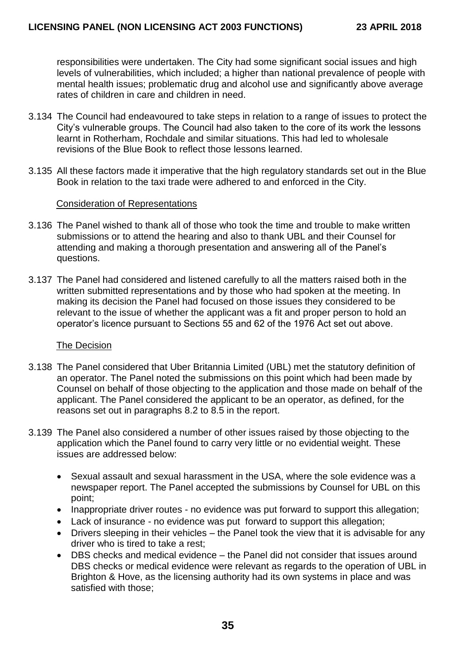responsibilities were undertaken. The City had some significant social issues and high levels of vulnerabilities, which included; a higher than national prevalence of people with mental health issues; problematic drug and alcohol use and significantly above average rates of children in care and children in need.

- 3.134 The Council had endeavoured to take steps in relation to a range of issues to protect the City's vulnerable groups. The Council had also taken to the core of its work the lessons learnt in Rotherham, Rochdale and similar situations. This had led to wholesale revisions of the Blue Book to reflect those lessons learned.
- 3.135 All these factors made it imperative that the high regulatory standards set out in the Blue Book in relation to the taxi trade were adhered to and enforced in the City.

### Consideration of Representations

- 3.136 The Panel wished to thank all of those who took the time and trouble to make written submissions or to attend the hearing and also to thank UBL and their Counsel for attending and making a thorough presentation and answering all of the Panel's questions.
- 3.137 The Panel had considered and listened carefully to all the matters raised both in the written submitted representations and by those who had spoken at the meeting. In making its decision the Panel had focused on those issues they considered to be relevant to the issue of whether the applicant was a fit and proper person to hold an operator's licence pursuant to Sections 55 and 62 of the 1976 Act set out above.

#### The Decision

- 3.138 The Panel considered that Uber Britannia Limited (UBL) met the statutory definition of an operator. The Panel noted the submissions on this point which had been made by Counsel on behalf of those objecting to the application and those made on behalf of the applicant. The Panel considered the applicant to be an operator, as defined, for the reasons set out in paragraphs 8.2 to 8.5 in the report.
- 3.139 The Panel also considered a number of other issues raised by those objecting to the application which the Panel found to carry very little or no evidential weight. These issues are addressed below:
	- Sexual assault and sexual harassment in the USA, where the sole evidence was a newspaper report. The Panel accepted the submissions by Counsel for UBL on this point;
	- Inappropriate driver routes no evidence was put forward to support this allegation;
	- Lack of insurance no evidence was put forward to support this allegation;
	- Drivers sleeping in their vehicles the Panel took the view that it is advisable for any driver who is tired to take a rest;
	- DBS checks and medical evidence the Panel did not consider that issues around DBS checks or medical evidence were relevant as regards to the operation of UBL in Brighton & Hove, as the licensing authority had its own systems in place and was satisfied with those;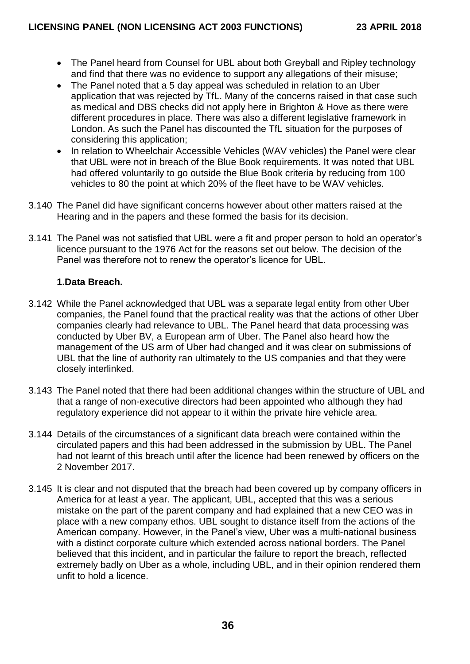- The Panel heard from Counsel for UBL about both Greyball and Ripley technology and find that there was no evidence to support any allegations of their misuse;
- The Panel noted that a 5 day appeal was scheduled in relation to an Uber application that was rejected by TfL. Many of the concerns raised in that case such as medical and DBS checks did not apply here in Brighton & Hove as there were different procedures in place. There was also a different legislative framework in London. As such the Panel has discounted the TfL situation for the purposes of considering this application;
- In relation to Wheelchair Accessible Vehicles (WAV vehicles) the Panel were clear that UBL were not in breach of the Blue Book requirements. It was noted that UBL had offered voluntarily to go outside the Blue Book criteria by reducing from 100 vehicles to 80 the point at which 20% of the fleet have to be WAV vehicles.
- 3.140 The Panel did have significant concerns however about other matters raised at the Hearing and in the papers and these formed the basis for its decision.
- 3.141 The Panel was not satisfied that UBL were a fit and proper person to hold an operator's licence pursuant to the 1976 Act for the reasons set out below. The decision of the Panel was therefore not to renew the operator's licence for UBL.

# **1.Data Breach.**

- 3.142 While the Panel acknowledged that UBL was a separate legal entity from other Uber companies, the Panel found that the practical reality was that the actions of other Uber companies clearly had relevance to UBL. The Panel heard that data processing was conducted by Uber BV, a European arm of Uber. The Panel also heard how the management of the US arm of Uber had changed and it was clear on submissions of UBL that the line of authority ran ultimately to the US companies and that they were closely interlinked.
- 3.143 The Panel noted that there had been additional changes within the structure of UBL and that a range of non-executive directors had been appointed who although they had regulatory experience did not appear to it within the private hire vehicle area.
- 3.144 Details of the circumstances of a significant data breach were contained within the circulated papers and this had been addressed in the submission by UBL. The Panel had not learnt of this breach until after the licence had been renewed by officers on the 2 November 2017.
- 3.145 It is clear and not disputed that the breach had been covered up by company officers in America for at least a year. The applicant, UBL, accepted that this was a serious mistake on the part of the parent company and had explained that a new CEO was in place with a new company ethos. UBL sought to distance itself from the actions of the American company. However, in the Panel's view, Uber was a multi-national business with a distinct corporate culture which extended across national borders. The Panel believed that this incident, and in particular the failure to report the breach, reflected extremely badly on Uber as a whole, including UBL, and in their opinion rendered them unfit to hold a licence.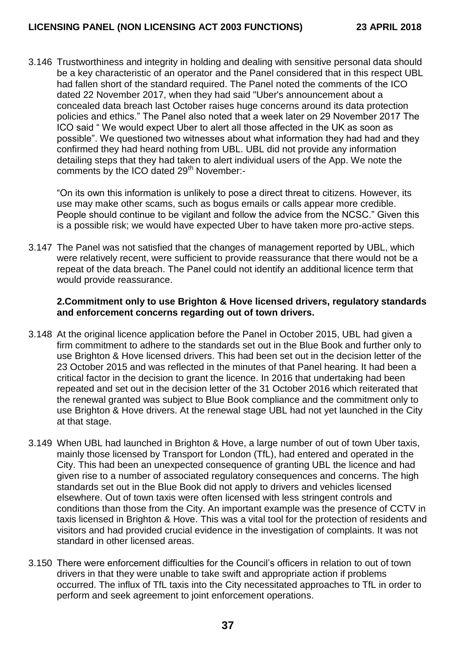3.146 Trustworthiness and integrity in holding and dealing with sensitive personal data should be a key characteristic of an operator and the Panel considered that in this respect UBL had fallen short of the standard required. The Panel noted the comments of the ICO dated 22 November 2017, when they had said "Uber's announcement about a concealed data breach last October raises huge concerns around its data protection policies and ethics." The Panel also noted that a week later on 29 November 2017 The ICO said " We would expect Uber to alert all those affected in the UK as soon as possible". We questioned two witnesses about what information they had had and they confirmed they had heard nothing from UBL. UBL did not provide any information detailing steps that they had taken to alert individual users of the App. We note the comments by the ICO dated 29<sup>th</sup> November:-

"On its own this information is unlikely to pose a direct threat to citizens. However, its use may make other scams, such as bogus emails or calls appear more credible. People should continue to be vigilant and follow the advice from the NCSC." Given this is a possible risk; we would have expected Uber to have taken more pro-active steps.

3.147 The Panel was not satisfied that the changes of management reported by UBL, which were relatively recent, were sufficient to provide reassurance that there would not be a repeat of the data breach. The Panel could not identify an additional licence term that would provide reassurance.

#### **2.Commitment only to use Brighton & Hove licensed drivers, regulatory standards and enforcement concerns regarding out of town drivers.**

- 3.148 At the original licence application before the Panel in October 2015, UBL had given a firm commitment to adhere to the standards set out in the Blue Book and further only to use Brighton & Hove licensed drivers. This had been set out in the decision letter of the 23 October 2015 and was reflected in the minutes of that Panel hearing. It had been a critical factor in the decision to grant the licence. In 2016 that undertaking had been repeated and set out in the decision letter of the 31 October 2016 which reiterated that the renewal granted was subject to Blue Book compliance and the commitment only to use Brighton & Hove drivers. At the renewal stage UBL had not yet launched in the City at that stage.
- 3.149 When UBL had launched in Brighton & Hove, a large number of out of town Uber taxis, mainly those licensed by Transport for London (TfL), had entered and operated in the City. This had been an unexpected consequence of granting UBL the licence and had given rise to a number of associated regulatory consequences and concerns. The high standards set out in the Blue Book did not apply to drivers and vehicles licensed elsewhere. Out of town taxis were often licensed with less stringent controls and conditions than those from the City. An important example was the presence of CCTV in taxis licensed in Brighton & Hove. This was a vital tool for the protection of residents and visitors and had provided crucial evidence in the investigation of complaints. It was not standard in other licensed areas.
- 3.150 There were enforcement difficulties for the Council's officers in relation to out of town drivers in that they were unable to take swift and appropriate action if problems occurred. The influx of TfL taxis into the City necessitated approaches to TfL in order to perform and seek agreement to joint enforcement operations.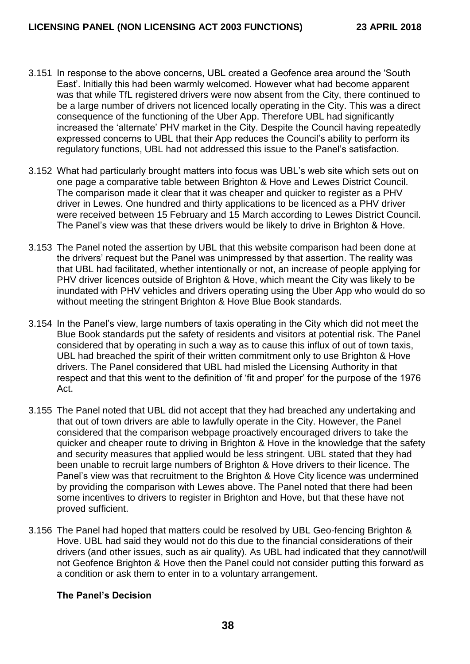- 3.151 In response to the above concerns, UBL created a Geofence area around the 'South East'. Initially this had been warmly welcomed. However what had become apparent was that while TfL registered drivers were now absent from the City, there continued to be a large number of drivers not licenced locally operating in the City. This was a direct consequence of the functioning of the Uber App. Therefore UBL had significantly increased the 'alternate' PHV market in the City. Despite the Council having repeatedly expressed concerns to UBL that their App reduces the Council's ability to perform its regulatory functions, UBL had not addressed this issue to the Panel's satisfaction.
- 3.152 What had particularly brought matters into focus was UBL's web site which sets out on one page a comparative table between Brighton & Hove and Lewes District Council. The comparison made it clear that it was cheaper and quicker to register as a PHV driver in Lewes. One hundred and thirty applications to be licenced as a PHV driver were received between 15 February and 15 March according to Lewes District Council. The Panel's view was that these drivers would be likely to drive in Brighton & Hove.
- 3.153 The Panel noted the assertion by UBL that this website comparison had been done at the drivers' request but the Panel was unimpressed by that assertion. The reality was that UBL had facilitated, whether intentionally or not, an increase of people applying for PHV driver licences outside of Brighton & Hove, which meant the City was likely to be inundated with PHV vehicles and drivers operating using the Uber App who would do so without meeting the stringent Brighton & Hove Blue Book standards.
- 3.154 In the Panel's view, large numbers of taxis operating in the City which did not meet the Blue Book standards put the safety of residents and visitors at potential risk. The Panel considered that by operating in such a way as to cause this influx of out of town taxis, UBL had breached the spirit of their written commitment only to use Brighton & Hove drivers. The Panel considered that UBL had misled the Licensing Authority in that respect and that this went to the definition of 'fit and proper' for the purpose of the 1976 Act.
- 3.155 The Panel noted that UBL did not accept that they had breached any undertaking and that out of town drivers are able to lawfully operate in the City. However, the Panel considered that the comparison webpage proactively encouraged drivers to take the quicker and cheaper route to driving in Brighton & Hove in the knowledge that the safety and security measures that applied would be less stringent. UBL stated that they had been unable to recruit large numbers of Brighton & Hove drivers to their licence. The Panel's view was that recruitment to the Brighton & Hove City licence was undermined by providing the comparison with Lewes above. The Panel noted that there had been some incentives to drivers to register in Brighton and Hove, but that these have not proved sufficient.
- 3.156 The Panel had hoped that matters could be resolved by UBL Geo-fencing Brighton & Hove. UBL had said they would not do this due to the financial considerations of their drivers (and other issues, such as air quality). As UBL had indicated that they cannot/will not Geofence Brighton & Hove then the Panel could not consider putting this forward as a condition or ask them to enter in to a voluntary arrangement.

## **The Panel's Decision**